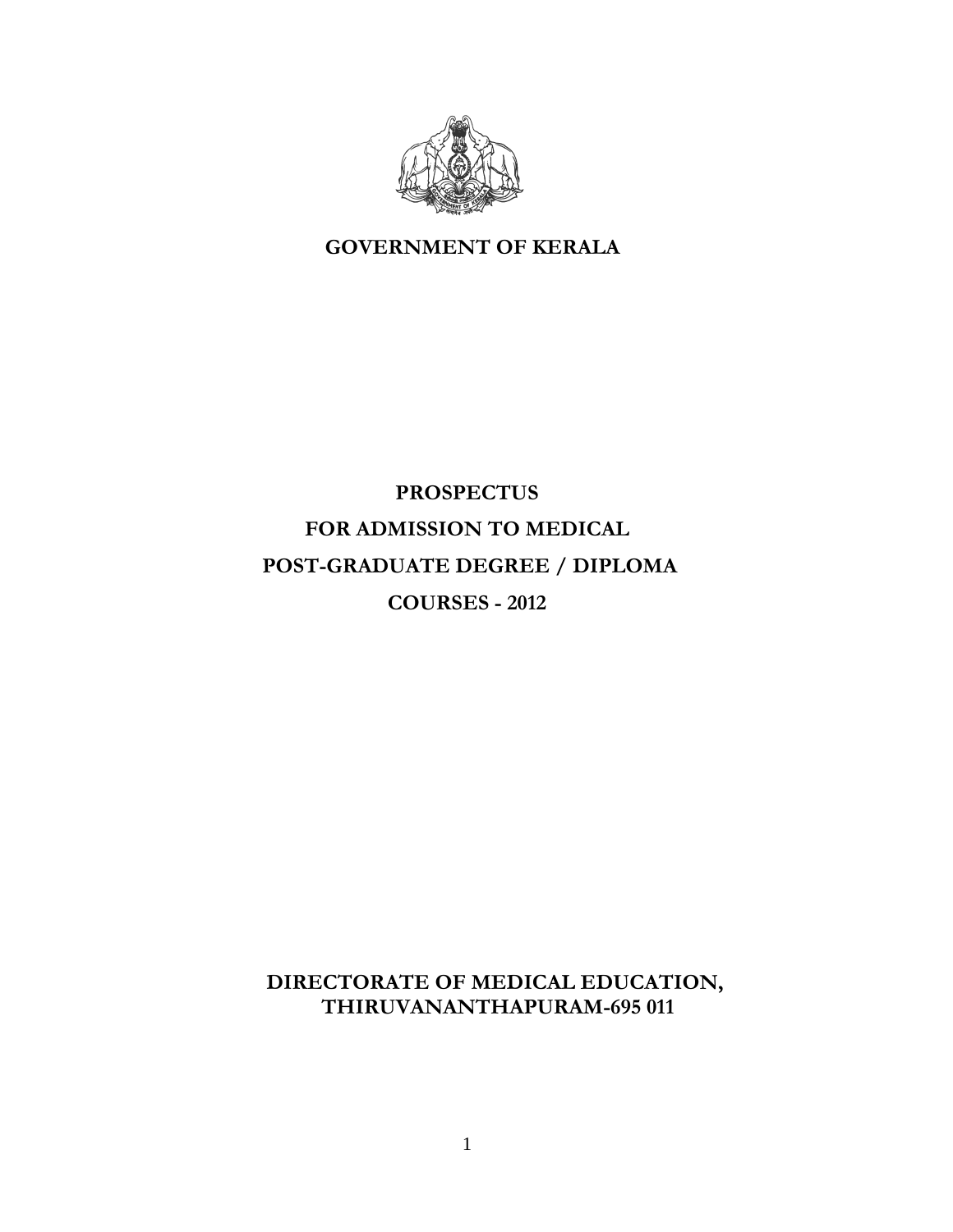

 **GOVERNMENT OF KERALA** 

# **PROSPECTUS FOR ADMISSION TO MEDICAL POST-GRADUATE DEGREE / DIPLOMA COURSES - 2012**

**DIRECTORATE OF MEDICAL EDUCATION, THIRUVANANTHAPURAM-695 011**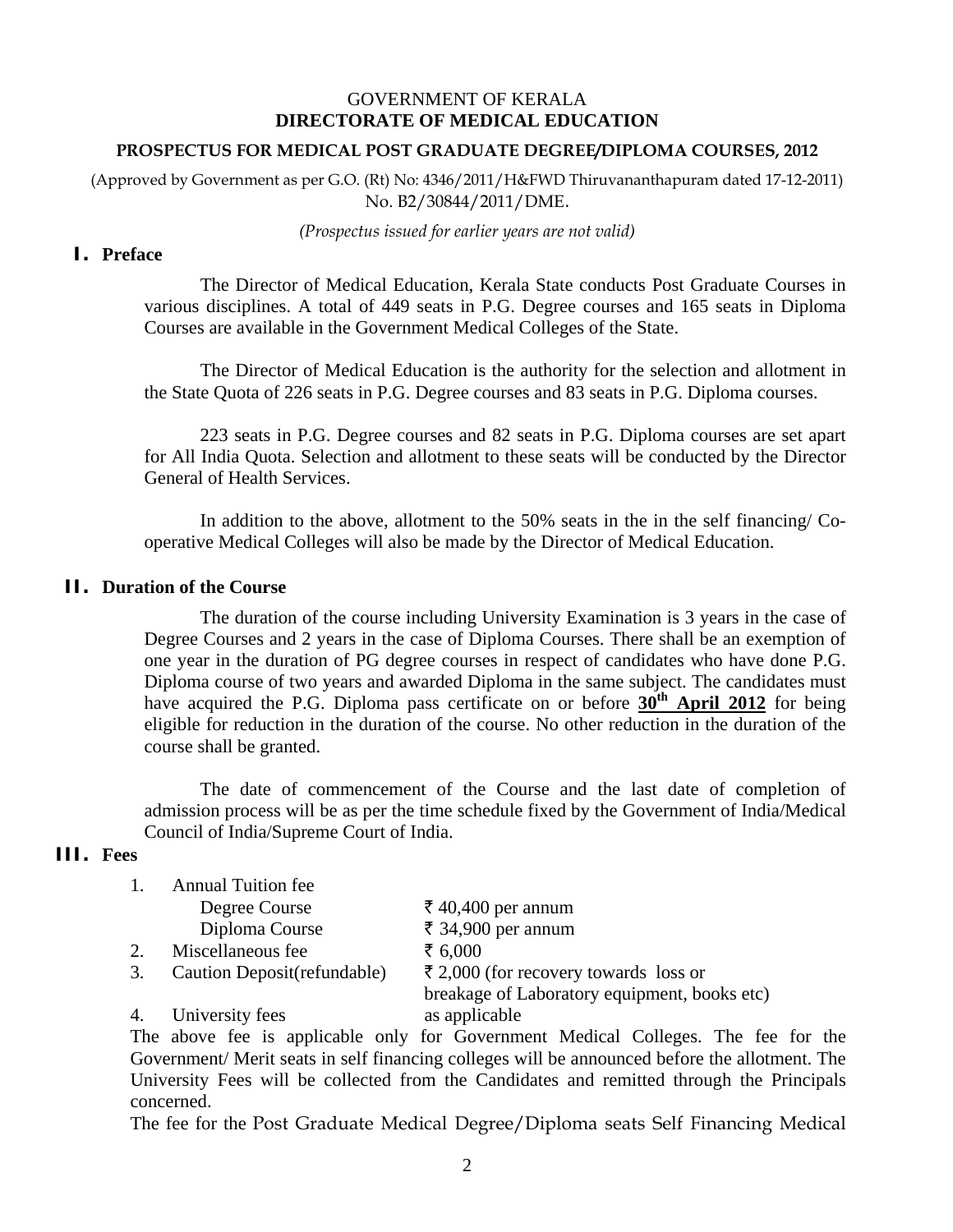### GOVERNMENT OF KERALA **DIRECTORATE OF MEDICAL EDUCATION**

#### **PROSPECTUS FOR MEDICAL POST GRADUATE DEGREE/DIPLOMA COURSES, 2012**

(Approved by Government as per G.O. (Rt) No: 4346/2011/H&FWD Thiruvananthapuram dated 17-12-2011) No. B2/30844/2011/DME.

*(Prospectus issued for earlier years are not valid)* 

#### **I. Preface**

 The Director of Medical Education, Kerala State conducts Post Graduate Courses in various disciplines. A total of 449 seats in P.G. Degree courses and 165 seats in Diploma Courses are available in the Government Medical Colleges of the State.

The Director of Medical Education is the authority for the selection and allotment in the State Quota of 226 seats in P.G. Degree courses and 83 seats in P.G. Diploma courses.

223 seats in P.G. Degree courses and 82 seats in P.G. Diploma courses are set apart for All India Quota. Selection and allotment to these seats will be conducted by the Director General of Health Services.

In addition to the above, allotment to the 50% seats in the in the self financing/ Cooperative Medical Colleges will also be made by the Director of Medical Education.

#### **II. Duration of the Course**

The duration of the course including University Examination is 3 years in the case of Degree Courses and 2 years in the case of Diploma Courses. There shall be an exemption of one year in the duration of PG degree courses in respect of candidates who have done P.G. Diploma course of two years and awarded Diploma in the same subject. The candidates must have acquired the P.G. Diploma pass certificate on or before  $30<sup>th</sup>$  April 2012 for being eligible for reduction in the duration of the course. No other reduction in the duration of the course shall be granted.

The date of commencement of the Course and the last date of completion of admission process will be as per the time schedule fixed by the Government of India/Medical Council of India/Supreme Court of India.

### **III. Fees**

|    | <b>Annual Tuition fee</b>    |                                              |
|----|------------------------------|----------------------------------------------|
|    | Degree Course                | ₹ 40,400 per annum                           |
|    | Diploma Course               | ₹ 34,900 per annum                           |
|    | Miscellaneous fee            | ₹ 6,000                                      |
| 3. | Caution Deposit (refundable) | ₹ 2,000 (for recovery towards loss or        |
|    |                              | breakage of Laboratory equipment, books etc) |
|    | University fees              | as applicable                                |

The above fee is applicable only for Government Medical Colleges. The fee for the Government/ Merit seats in self financing colleges will be announced before the allotment. The University Fees will be collected from the Candidates and remitted through the Principals concerned.

The fee for the Post Graduate Medical Degree/Diploma seats Self Financing Medical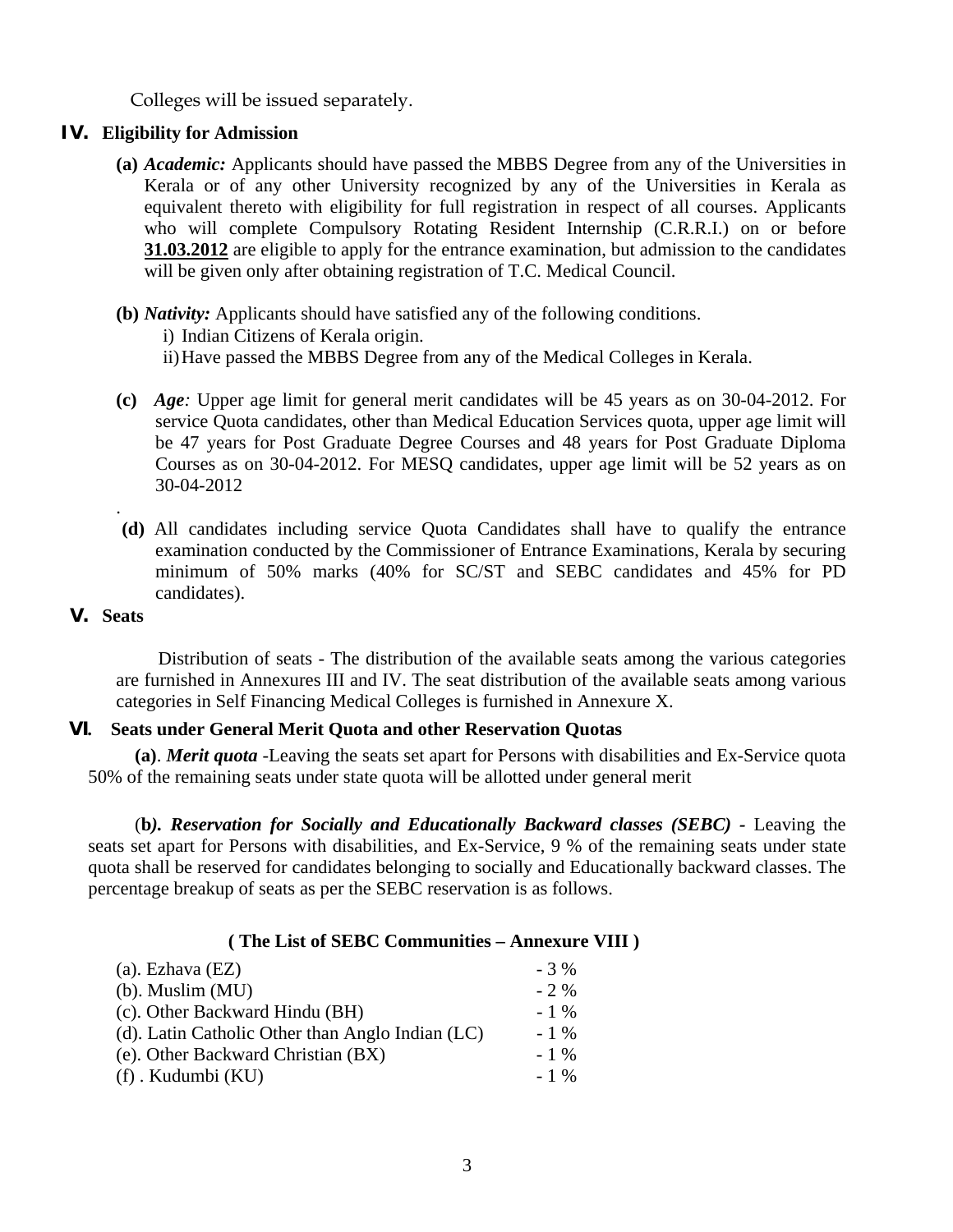Colleges will be issued separately.

#### **IV. Eligibility for Admission**

**(a)** *Academic:* Applicants should have passed the MBBS Degree from any of the Universities in Kerala or of any other University recognized by any of the Universities in Kerala as equivalent thereto with eligibility for full registration in respect of all courses. Applicants who will complete Compulsory Rotating Resident Internship (C.R.R.I.) on or before **31.03.2012** are eligible to apply for the entrance examination, but admission to the candidates will be given only after obtaining registration of T.C. Medical Council.

#### **(b)** *Nativity:* Applicants should have satisfied any of the following conditions.

i) Indian Citizens of Kerala origin.

- ii) Have passed the MBBS Degree from any of the Medical Colleges in Kerala.
- **(c)** *Age:* Upper age limit for general merit candidates will be 45 years as on 30-04-2012. For service Quota candidates, other than Medical Education Services quota, upper age limit will be 47 years for Post Graduate Degree Courses and 48 years for Post Graduate Diploma Courses as on 30-04-2012. For MESQ candidates, upper age limit will be 52 years as on 30-04-2012
- **(d)** All candidates including service Quota Candidates shall have to qualify the entrance examination conducted by the Commissioner of Entrance Examinations, Kerala by securing minimum of 50% marks (40% for SC/ST and SEBC candidates and 45% for PD candidates).

### **V. Seats**

.

 Distribution of seats - The distribution of the available seats among the various categories are furnished in Annexures III and IV. The seat distribution of the available seats among various categories in Self Financing Medical Colleges is furnished in Annexure X.

### **VI. Seats under General Merit Quota and other Reservation Quotas**

 **(a)**. *Merit quota* -Leaving the seats set apart for Persons with disabilities and Ex-Service quota 50% of the remaining seats under state quota will be allotted under general merit

 (**b***). Reservation for Socially and Educationally Backward classes (SEBC) -* Leaving the seats set apart for Persons with disabilities, and Ex-Service, 9 % of the remaining seats under state quota shall be reserved for candidates belonging to socially and Educationally backward classes. The percentage breakup of seats as per the SEBC reservation is as follows.

### **( The List of SEBC Communities – Annexure VIII )**

| $(a)$ . Ezhava $(EZ)$                            | $-3\%$ |
|--------------------------------------------------|--------|
| $(b)$ . Muslim $(MU)$                            | $-2\%$ |
| (c). Other Backward Hindu (BH)                   | $-1\%$ |
| (d). Latin Catholic Other than Anglo Indian (LC) | $-1\%$ |
| (e). Other Backward Christian (BX)               | $-1\%$ |
| (f) . Kudumbi (KU)                               | $-1\%$ |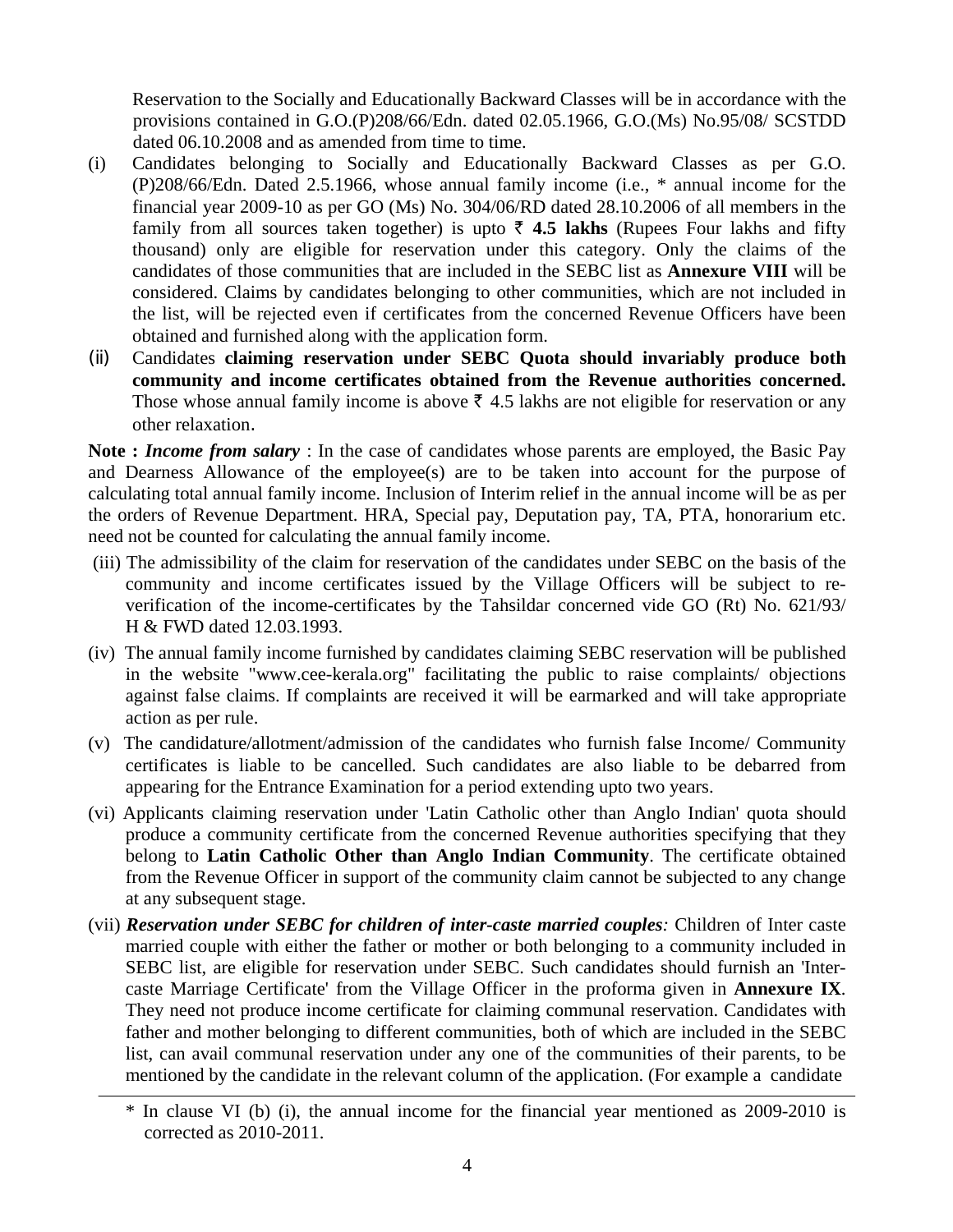Reservation to the Socially and Educationally Backward Classes will be in accordance with the provisions contained in G.O.(P)208/66/Edn. dated 02.05.1966, G.O.(Ms) No.95/08/ SCSTDD dated 06.10.2008 and as amended from time to time.

- (i) Candidates belonging to Socially and Educationally Backward Classes as per G.O. (P)208/66/Edn. Dated 2.5.1966, whose annual family income (i.e., \* annual income for the financial year 2009-10 as per GO (Ms) No. 304/06/RD dated 28.10.2006 of all members in the family from all sources taken together) is upto  $\bar{\zeta}$  4.5 lakhs (Rupees Four lakhs and fifty thousand) only are eligible for reservation under this category. Only the claims of the candidates of those communities that are included in the SEBC list as **Annexure VIII** will be considered. Claims by candidates belonging to other communities, which are not included in the list, will be rejected even if certificates from the concerned Revenue Officers have been obtained and furnished along with the application form.
- (ii) Candidates **claiming reservation under SEBC Quota should invariably produce both community and income certificates obtained from the Revenue authorities concerned.** Those whose annual family income is above  $\bar{\tau}$  4.5 lakhs are not eligible for reservation or any other relaxation.

**Note :** *Income from salary* : In the case of candidates whose parents are employed, the Basic Pay and Dearness Allowance of the employee(s) are to be taken into account for the purpose of calculating total annual family income. Inclusion of Interim relief in the annual income will be as per the orders of Revenue Department. HRA, Special pay, Deputation pay, TA, PTA, honorarium etc. need not be counted for calculating the annual family income.

- (iii) The admissibility of the claim for reservation of the candidates under SEBC on the basis of the community and income certificates issued by the Village Officers will be subject to reverification of the income-certificates by the Tahsildar concerned vide GO (Rt) No. 621/93/ H & FWD dated 12.03.1993.
- (iv) The annual family income furnished by candidates claiming SEBC reservation will be published in the website "www.cee-kerala.org" facilitating the public to raise complaints/ objections against false claims. If complaints are received it will be earmarked and will take appropriate action as per rule.
- (v) The candidature/allotment/admission of the candidates who furnish false Income/ Community certificates is liable to be cancelled. Such candidates are also liable to be debarred from appearing for the Entrance Examination for a period extending upto two years.
- (vi) Applicants claiming reservation under 'Latin Catholic other than Anglo Indian' quota should produce a community certificate from the concerned Revenue authorities specifying that they belong to **Latin Catholic Other than Anglo Indian Community**. The certificate obtained from the Revenue Officer in support of the community claim cannot be subjected to any change at any subsequent stage.
- (vii) *Reservation under SEBC for children of inter-caste married couples:* Children of Inter caste married couple with either the father or mother or both belonging to a community included in SEBC list, are eligible for reservation under SEBC. Such candidates should furnish an 'Intercaste Marriage Certificate' from the Village Officer in the proforma given in **Annexure IX**. They need not produce income certificate for claiming communal reservation. Candidates with father and mother belonging to different communities, both of which are included in the SEBC list, can avail communal reservation under any one of the communities of their parents, to be mentioned by the candidate in the relevant column of the application. (For example a candidate

<sup>\*</sup> In clause VI (b) (i), the annual income for the financial year mentioned as 2009-2010 is corrected as 2010-2011.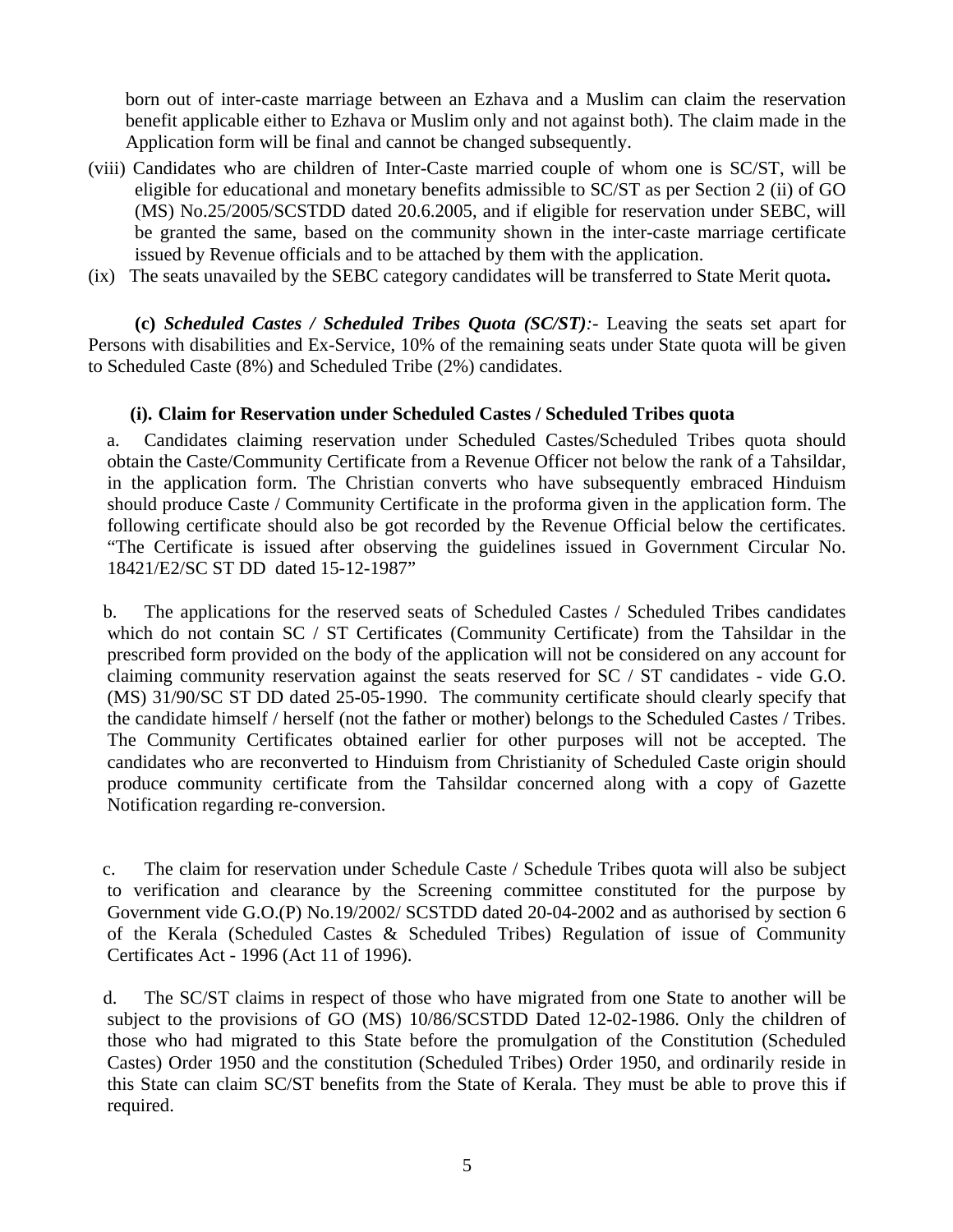born out of inter-caste marriage between an Ezhava and a Muslim can claim the reservation benefit applicable either to Ezhava or Muslim only and not against both). The claim made in the Application form will be final and cannot be changed subsequently.

- (viii) Candidates who are children of Inter-Caste married couple of whom one is SC/ST, will be eligible for educational and monetary benefits admissible to SC/ST as per Section 2 (ii) of GO (MS) No.25/2005/SCSTDD dated 20.6.2005, and if eligible for reservation under SEBC, will be granted the same, based on the community shown in the inter-caste marriage certificate issued by Revenue officials and to be attached by them with the application.
- (ix) The seats unavailed by the SEBC category candidates will be transferred to State Merit quota**.**

 **(c)** *Scheduled Castes / Scheduled Tribes Quota (SC/ST):-* Leaving the seats set apart for Persons with disabilities and Ex-Service, 10% of the remaining seats under State quota will be given to Scheduled Caste (8%) and Scheduled Tribe (2%) candidates.

#### **(i). Claim for Reservation under Scheduled Castes / Scheduled Tribes quota**

a. Candidates claiming reservation under Scheduled Castes/Scheduled Tribes quota should obtain the Caste/Community Certificate from a Revenue Officer not below the rank of a Tahsildar, in the application form. The Christian converts who have subsequently embraced Hinduism should produce Caste / Community Certificate in the proforma given in the application form. The following certificate should also be got recorded by the Revenue Official below the certificates. "The Certificate is issued after observing the guidelines issued in Government Circular No. 18421/E2/SC ST DD dated 15-12-1987"

b. The applications for the reserved seats of Scheduled Castes / Scheduled Tribes candidates which do not contain SC / ST Certificates (Community Certificate) from the Tahsildar in the prescribed form provided on the body of the application will not be considered on any account for claiming community reservation against the seats reserved for SC / ST candidates - vide G.O. (MS) 31/90/SC ST DD dated 25-05-1990. The community certificate should clearly specify that the candidate himself / herself (not the father or mother) belongs to the Scheduled Castes / Tribes. The Community Certificates obtained earlier for other purposes will not be accepted. The candidates who are reconverted to Hinduism from Christianity of Scheduled Caste origin should produce community certificate from the Tahsildar concerned along with a copy of Gazette Notification regarding re-conversion.

c. The claim for reservation under Schedule Caste / Schedule Tribes quota will also be subject to verification and clearance by the Screening committee constituted for the purpose by Government vide G.O.(P) No.19/2002/ SCSTDD dated 20-04-2002 and as authorised by section 6 of the Kerala (Scheduled Castes & Scheduled Tribes) Regulation of issue of Community Certificates Act - 1996 (Act 11 of 1996).

d. The SC/ST claims in respect of those who have migrated from one State to another will be subject to the provisions of GO (MS) 10/86/SCSTDD Dated 12-02-1986. Only the children of those who had migrated to this State before the promulgation of the Constitution (Scheduled Castes) Order 1950 and the constitution (Scheduled Tribes) Order 1950, and ordinarily reside in this State can claim SC/ST benefits from the State of Kerala. They must be able to prove this if required.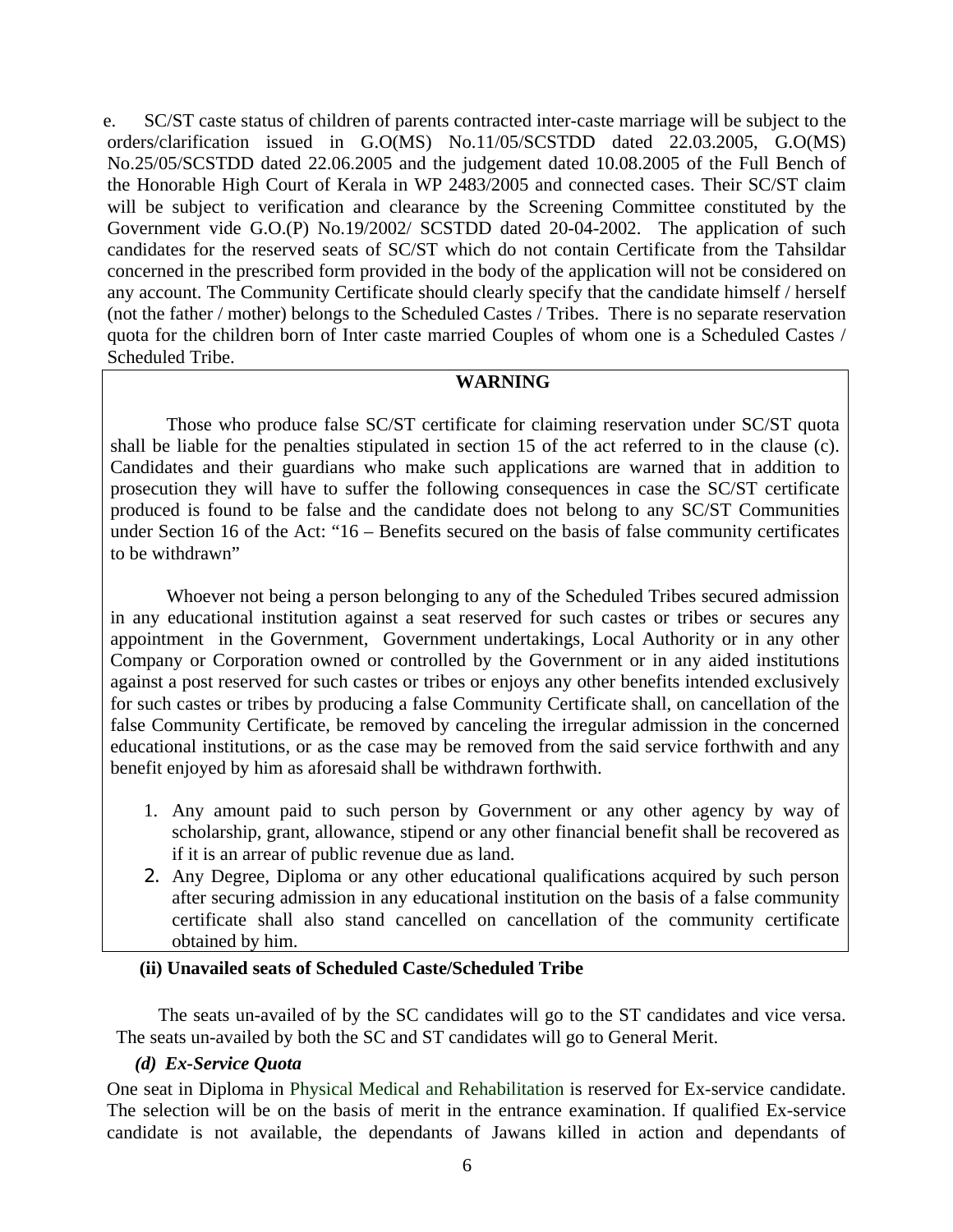e. SC/ST caste status of children of parents contracted inter-caste marriage will be subject to the orders/clarification issued in G.O(MS) No.11/05/SCSTDD dated 22.03.2005, G.O(MS) No.25/05/SCSTDD dated 22.06.2005 and the judgement dated 10.08.2005 of the Full Bench of the Honorable High Court of Kerala in WP 2483/2005 and connected cases. Their SC/ST claim will be subject to verification and clearance by the Screening Committee constituted by the Government vide G.O.(P) No.19/2002/ SCSTDD dated 20-04-2002. The application of such candidates for the reserved seats of SC/ST which do not contain Certificate from the Tahsildar concerned in the prescribed form provided in the body of the application will not be considered on any account. The Community Certificate should clearly specify that the candidate himself / herself (not the father / mother) belongs to the Scheduled Castes / Tribes. There is no separate reservation quota for the children born of Inter caste married Couples of whom one is a Scheduled Castes / Scheduled Tribe.

### **WARNING**

 Those who produce false SC/ST certificate for claiming reservation under SC/ST quota shall be liable for the penalties stipulated in section 15 of the act referred to in the clause (c). Candidates and their guardians who make such applications are warned that in addition to prosecution they will have to suffer the following consequences in case the SC/ST certificate produced is found to be false and the candidate does not belong to any SC/ST Communities under Section 16 of the Act: "16 – Benefits secured on the basis of false community certificates to be withdrawn"

 Whoever not being a person belonging to any of the Scheduled Tribes secured admission in any educational institution against a seat reserved for such castes or tribes or secures any appointment in the Government, Government undertakings, Local Authority or in any other Company or Corporation owned or controlled by the Government or in any aided institutions against a post reserved for such castes or tribes or enjoys any other benefits intended exclusively for such castes or tribes by producing a false Community Certificate shall, on cancellation of the false Community Certificate, be removed by canceling the irregular admission in the concerned educational institutions, or as the case may be removed from the said service forthwith and any benefit enjoyed by him as aforesaid shall be withdrawn forthwith.

- 1. Any amount paid to such person by Government or any other agency by way of scholarship, grant, allowance, stipend or any other financial benefit shall be recovered as if it is an arrear of public revenue due as land.
- 2. Any Degree, Diploma or any other educational qualifications acquired by such person after securing admission in any educational institution on the basis of a false community certificate shall also stand cancelled on cancellation of the community certificate obtained by him.

### **(ii) Unavailed seats of Scheduled Caste/Scheduled Tribe**

 The seats un-availed of by the SC candidates will go to the ST candidates and vice versa. The seats un-availed by both the SC and ST candidates will go to General Merit.

### *(d) Ex-Service Quota*

One seat in Diploma in Physical Medical and Rehabilitation is reserved for Ex-service candidate. The selection will be on the basis of merit in the entrance examination. If qualified Ex-service candidate is not available, the dependants of Jawans killed in action and dependants of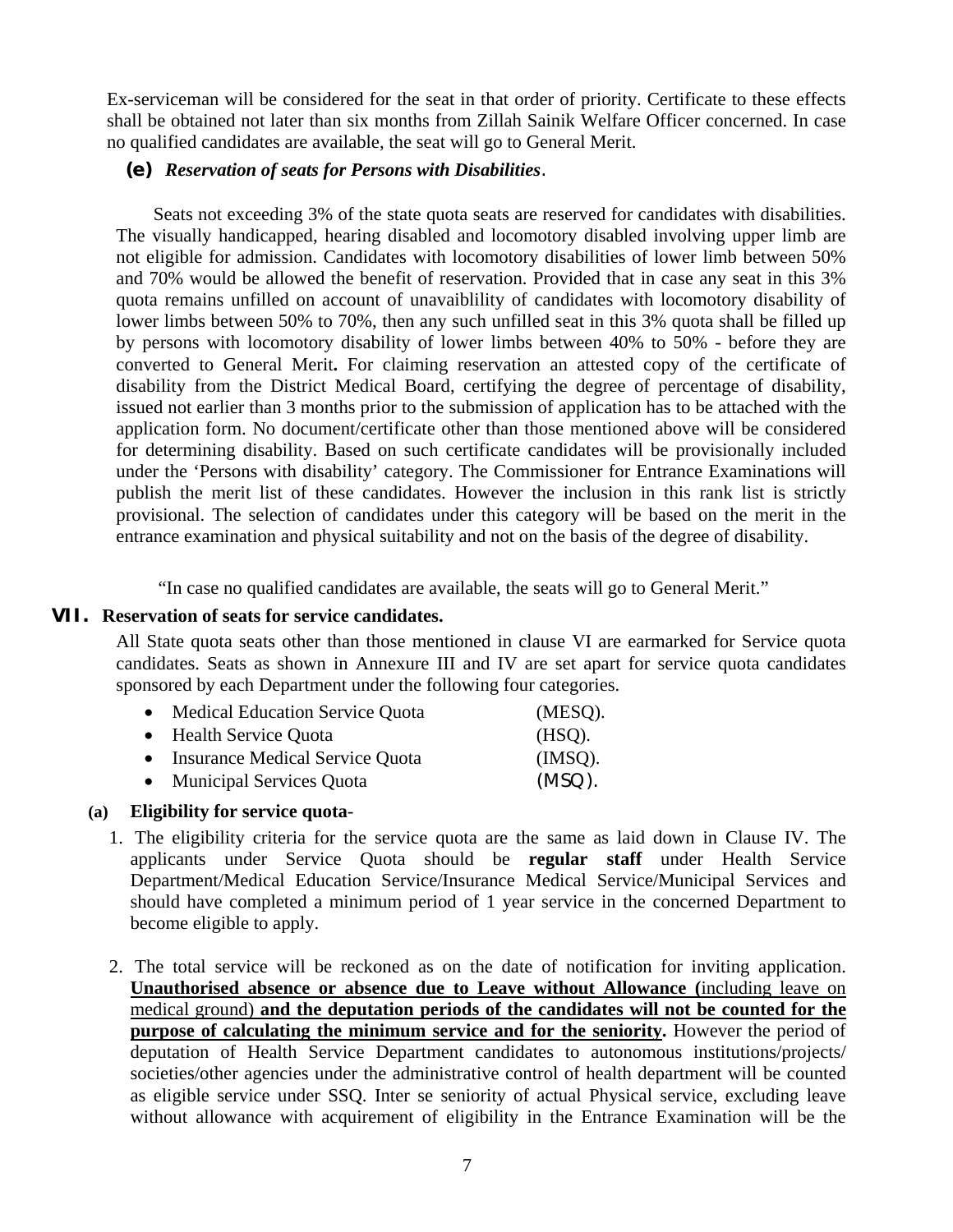Ex-serviceman will be considered for the seat in that order of priority. Certificate to these effects shall be obtained not later than six months from Zillah Sainik Welfare Officer concerned. In case no qualified candidates are available, the seat will go to General Merit.

### **(e)** *Reservation of seats for Persons with Disabilities*.

Seats not exceeding 3% of the state quota seats are reserved for candidates with disabilities. The visually handicapped, hearing disabled and locomotory disabled involving upper limb are not eligible for admission. Candidates with locomotory disabilities of lower limb between 50% and 70% would be allowed the benefit of reservation. Provided that in case any seat in this 3% quota remains unfilled on account of unavaiblility of candidates with locomotory disability of lower limbs between 50% to 70%, then any such unfilled seat in this 3% quota shall be filled up by persons with locomotory disability of lower limbs between 40% to 50% - before they are converted to General Merit**.** For claiming reservation an attested copy of the certificate of disability from the District Medical Board, certifying the degree of percentage of disability, issued not earlier than 3 months prior to the submission of application has to be attached with the application form. No document/certificate other than those mentioned above will be considered for determining disability. Based on such certificate candidates will be provisionally included under the 'Persons with disability' category. The Commissioner for Entrance Examinations will publish the merit list of these candidates. However the inclusion in this rank list is strictly provisional. The selection of candidates under this category will be based on the merit in the entrance examination and physical suitability and not on the basis of the degree of disability.

"In case no qualified candidates are available, the seats will go to General Merit."

#### **VII. Reservation of seats for service candidates.**

All State quota seats other than those mentioned in clause VI are earmarked for Service quota candidates. Seats as shown in Annexure III and IV are set apart for service quota candidates sponsored by each Department under the following four categories.

| • Medical Education Service Quota | (MESO).   |
|-----------------------------------|-----------|
| • Health Service Quota            | $(HSO)$ . |
| • Insurance Medical Service Quota | $(MSO)$ . |
| • Municipal Services Quota        | $(MSO)$ . |

### **(a) Eligibility for service quota**-

- 1. The eligibility criteria for the service quota are the same as laid down in Clause IV. The applicants under Service Quota should be **regular staff** under Health Service Department/Medical Education Service/Insurance Medical Service/Municipal Services and should have completed a minimum period of 1 year service in the concerned Department to become eligible to apply.
- 2. The total service will be reckoned as on the date of notification for inviting application. **Unauthorised absence or absence due to Leave without Allowance (**including leave on medical ground) **and the deputation periods of the candidates will not be counted for the purpose of calculating the minimum service and for the seniority.** However the period of deputation of Health Service Department candidates to autonomous institutions/projects/ societies/other agencies under the administrative control of health department will be counted as eligible service under SSQ. Inter se seniority of actual Physical service, excluding leave without allowance with acquirement of eligibility in the Entrance Examination will be the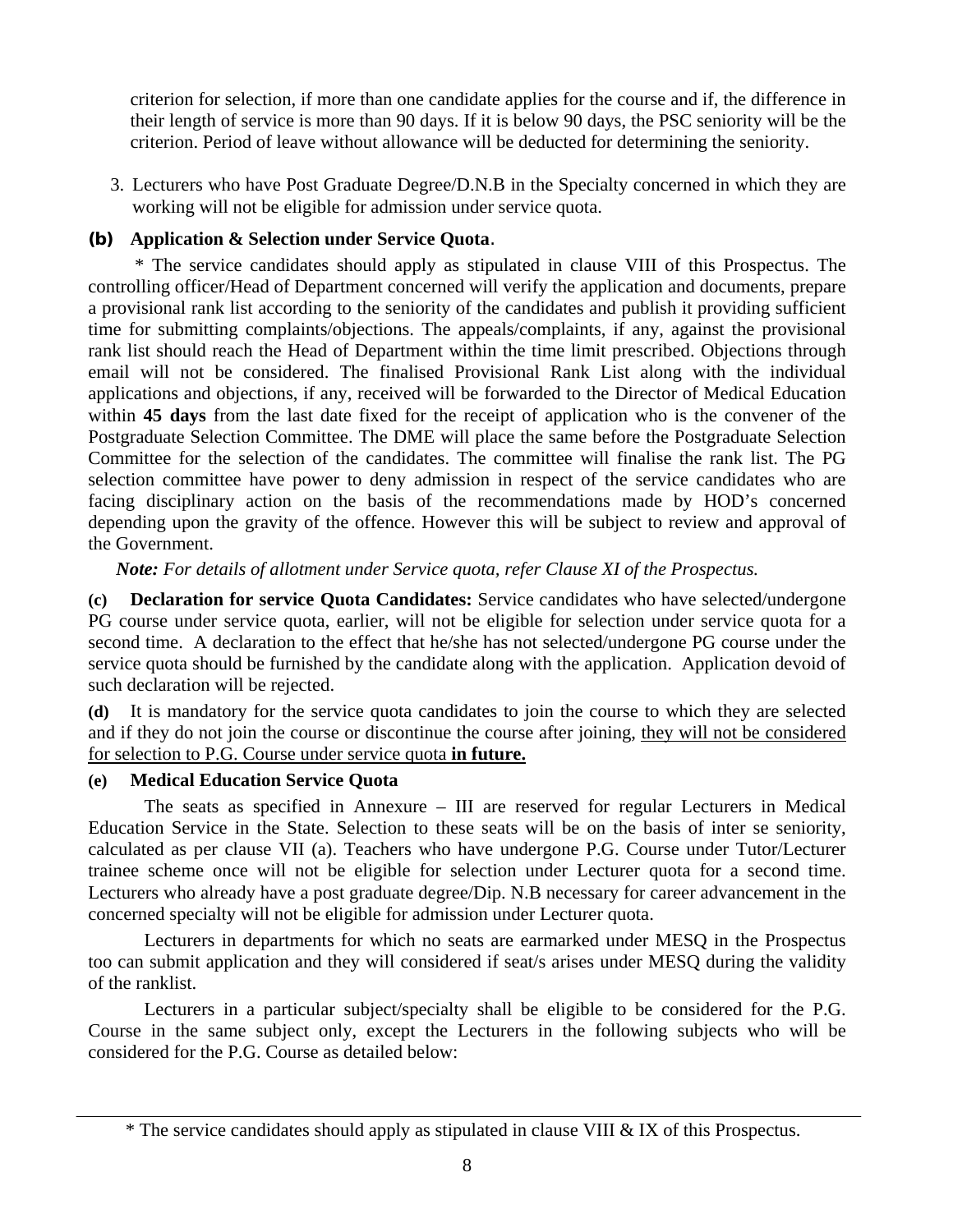criterion for selection, if more than one candidate applies for the course and if, the difference in their length of service is more than 90 days. If it is below 90 days, the PSC seniority will be the criterion. Period of leave without allowance will be deducted for determining the seniority.

3. Lecturers who have Post Graduate Degree/D.N.B in the Specialty concerned in which they are working will not be eligible for admission under service quota.

### **(b) Application & Selection under Service Quota**.

 \* The service candidates should apply as stipulated in clause VIII of this Prospectus. The controlling officer/Head of Department concerned will verify the application and documents, prepare a provisional rank list according to the seniority of the candidates and publish it providing sufficient time for submitting complaints/objections. The appeals/complaints, if any, against the provisional rank list should reach the Head of Department within the time limit prescribed. Objections through email will not be considered. The finalised Provisional Rank List along with the individual applications and objections, if any, received will be forwarded to the Director of Medical Education within **45 days** from the last date fixed for the receipt of application who is the convener of the Postgraduate Selection Committee. The DME will place the same before the Postgraduate Selection Committee for the selection of the candidates. The committee will finalise the rank list. The PG selection committee have power to deny admission in respect of the service candidates who are facing disciplinary action on the basis of the recommendations made by HOD's concerned depending upon the gravity of the offence. However this will be subject to review and approval of the Government.

*Note: For details of allotment under Service quota, refer Clause XI of the Prospectus.* 

**(c) Declaration for service Quota Candidates:** Service candidates who have selected/undergone PG course under service quota, earlier, will not be eligible for selection under service quota for a second time. A declaration to the effect that he/she has not selected/undergone PG course under the service quota should be furnished by the candidate along with the application. Application devoid of such declaration will be rejected.

**(d)** It is mandatory for the service quota candidates to join the course to which they are selected and if they do not join the course or discontinue the course after joining, they will not be considered for selection to P.G. Course under service quota **in future.**

### **(e) Medical Education Service Quota**

 The seats as specified in Annexure – III are reserved for regular Lecturers in Medical Education Service in the State. Selection to these seats will be on the basis of inter se seniority, calculated as per clause VII (a). Teachers who have undergone P.G. Course under Tutor/Lecturer trainee scheme once will not be eligible for selection under Lecturer quota for a second time. Lecturers who already have a post graduate degree/Dip. N.B necessary for career advancement in the concerned specialty will not be eligible for admission under Lecturer quota.

 Lecturers in departments for which no seats are earmarked under MESQ in the Prospectus too can submit application and they will considered if seat/s arises under MESQ during the validity of the ranklist.

 Lecturers in a particular subject/specialty shall be eligible to be considered for the P.G. Course in the same subject only, except the Lecturers in the following subjects who will be considered for the P.G. Course as detailed below:

<sup>\*</sup> The service candidates should apply as stipulated in clause VIII & IX of this Prospectus.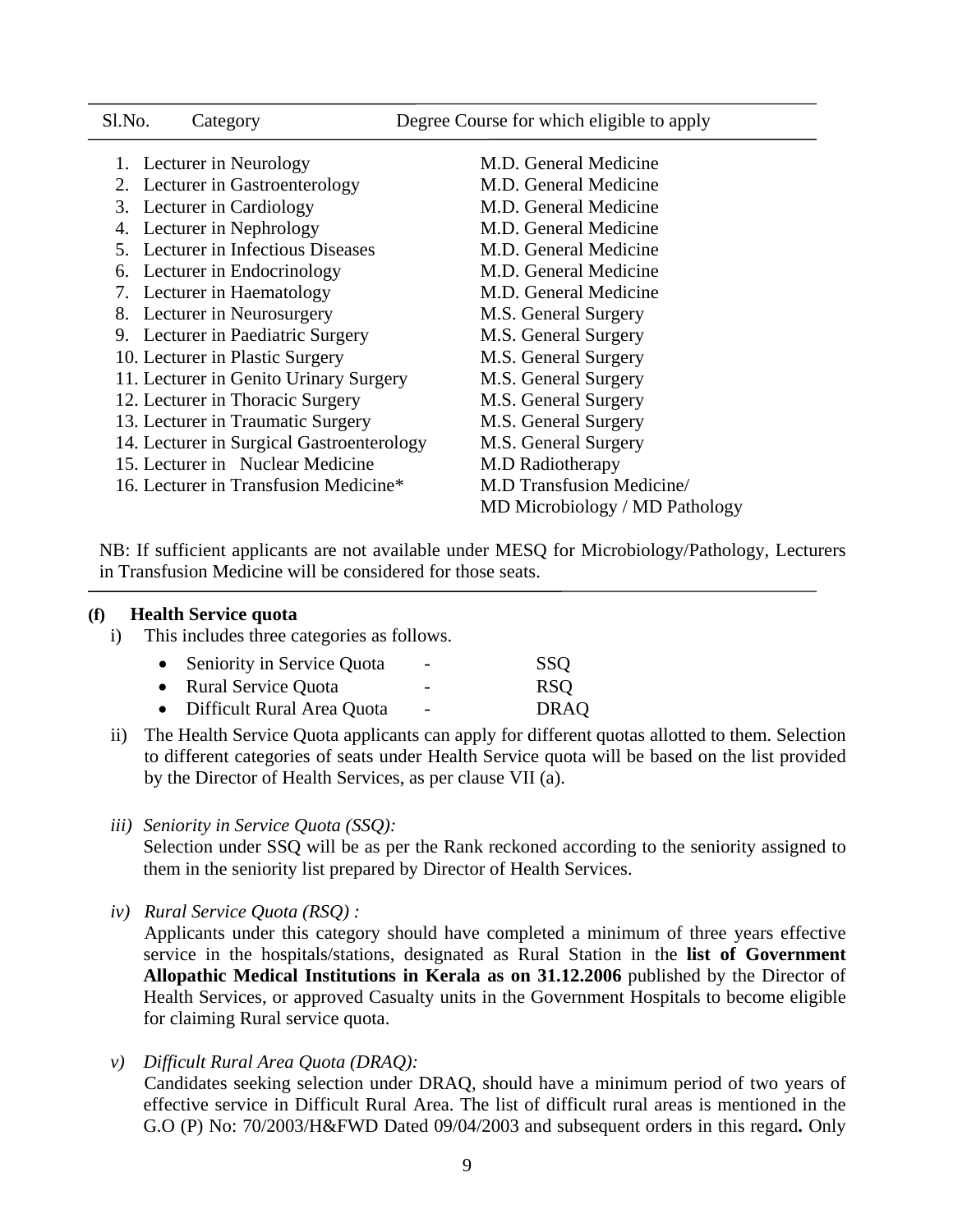| Sl.No. | Category                                  | Degree Course for which eligible to apply |
|--------|-------------------------------------------|-------------------------------------------|
|        | 1. Lecturer in Neurology                  | M.D. General Medicine                     |
|        | 2. Lecturer in Gastroenterology           | M.D. General Medicine                     |
|        | 3. Lecturer in Cardiology                 | M.D. General Medicine                     |
|        | 4. Lecturer in Nephrology                 | M.D. General Medicine                     |
|        | 5. Lecturer in Infectious Diseases        | M.D. General Medicine                     |
|        | 6. Lecturer in Endocrinology              | M.D. General Medicine                     |
|        | 7. Lecturer in Haematology                | M.D. General Medicine                     |
|        | 8. Lecturer in Neurosurgery               | M.S. General Surgery                      |
|        | 9. Lecturer in Paediatric Surgery         | M.S. General Surgery                      |
|        | 10. Lecturer in Plastic Surgery           | M.S. General Surgery                      |
|        | 11. Lecturer in Genito Urinary Surgery    | M.S. General Surgery                      |
|        | 12. Lecturer in Thoracic Surgery          | M.S. General Surgery                      |
|        | 13. Lecturer in Traumatic Surgery         | M.S. General Surgery                      |
|        | 14. Lecturer in Surgical Gastroenterology | M.S. General Surgery                      |
|        | 15. Lecturer in Nuclear Medicine          | M.D Radiotherapy                          |
|        | 16. Lecturer in Transfusion Medicine*     | <b>M.D Transfusion Medicine/</b>          |
|        |                                           | MD Microbiology / MD Pathology            |
|        |                                           |                                           |

NB: If sufficient applicants are not available under MESQ for Microbiology/Pathology, Lecturers in Transfusion Medicine will be considered for those seats.

#### **(f) Health Service quota**

i) This includes three categories as follows.

| • Seniority in Service Quota | $\overline{\phantom{a}}$ | <b>SSO</b>  |
|------------------------------|--------------------------|-------------|
| • Rural Service Quota        | -                        | <b>RSO</b>  |
| • Difficult Rural Area Quota | $\overline{\phantom{a}}$ | <b>DRAQ</b> |

- ii) The Health Service Quota applicants can apply for different quotas allotted to them. Selection to different categories of seats under Health Service quota will be based on the list provided by the Director of Health Services, as per clause VII (a).
- *iii) Seniority in Service Quota (SSQ):*

Selection under SSQ will be as per the Rank reckoned according to the seniority assigned to them in the seniority list prepared by Director of Health Services.

*iv) Rural Service Quota (RSQ) :* 

 Applicants under this category should have completed a minimum of three years effective service in the hospitals/stations, designated as Rural Station in the **list of Government Allopathic Medical Institutions in Kerala as on 31.12.2006** published by the Director of Health Services, or approved Casualty units in the Government Hospitals to become eligible for claiming Rural service quota.

*v) Difficult Rural Area Quota (DRAQ):* 

 Candidates seeking selection under DRAQ, should have a minimum period of two years of effective service in Difficult Rural Area. The list of difficult rural areas is mentioned in the G.O (P) No: 70/2003/H&FWD Dated 09/04/2003 and subsequent orders in this regard**.** Only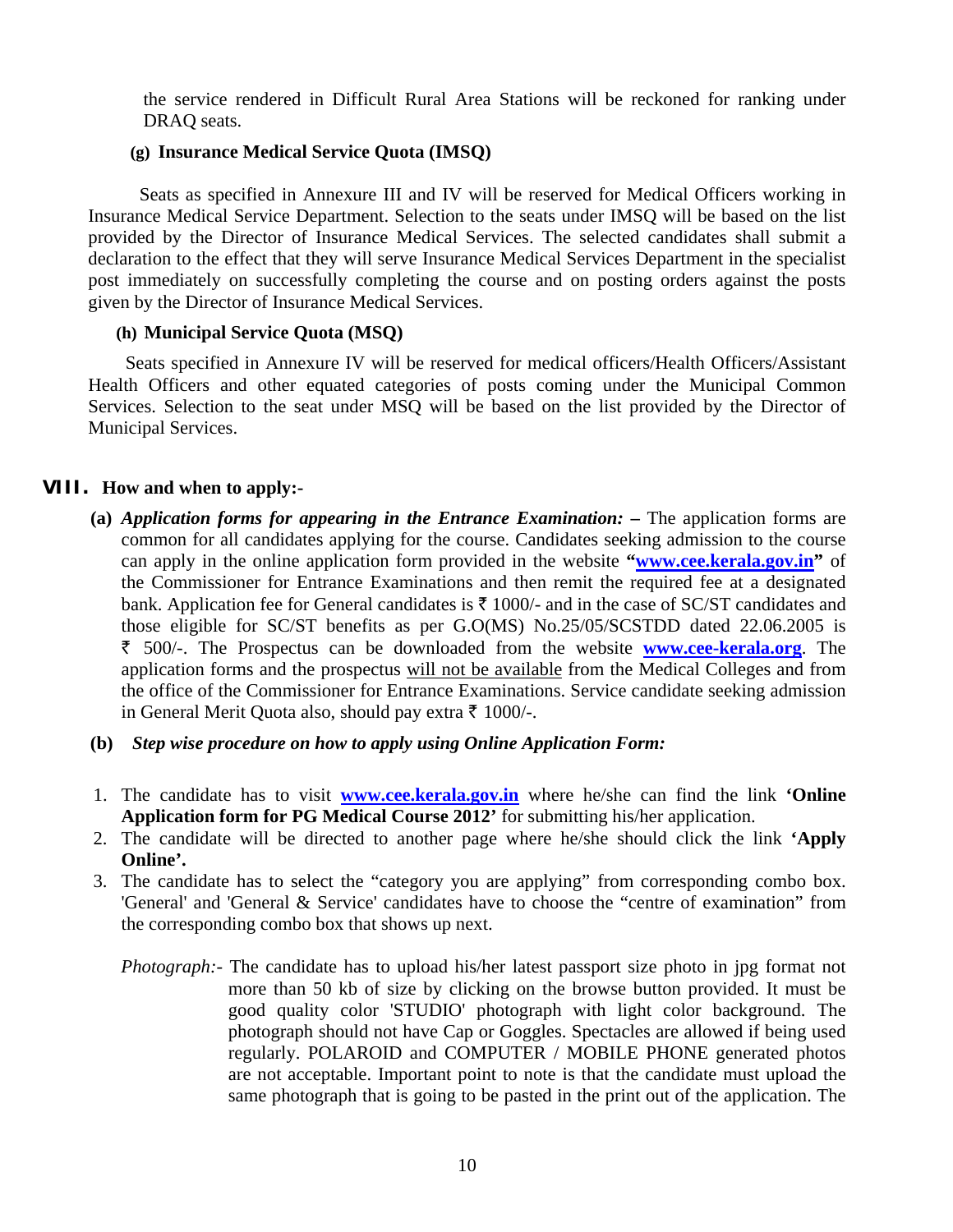the service rendered in Difficult Rural Area Stations will be reckoned for ranking under DRAQ seats.

### **(g) Insurance Medical Service Quota (IMSQ)**

 Seats as specified in Annexure III and IV will be reserved for Medical Officers working in Insurance Medical Service Department. Selection to the seats under IMSQ will be based on the list provided by the Director of Insurance Medical Services. The selected candidates shall submit a declaration to the effect that they will serve Insurance Medical Services Department in the specialist post immediately on successfully completing the course and on posting orders against the posts given by the Director of Insurance Medical Services.

### **(h) Municipal Service Quota (MSQ)**

 Seats specified in Annexure IV will be reserved for medical officers/Health Officers/Assistant Health Officers and other equated categories of posts coming under the Municipal Common Services. Selection to the seat under MSQ will be based on the list provided by the Director of Municipal Services.

### **VIII. How and when to apply:-**

- **(a)** *Application forms for appearing in the Entrance Examination: –* The application forms are common for all candidates applying for the course. Candidates seeking admission to the course can apply in the online application form provided in the website **"www.cee.kerala.gov.in"** of the Commissioner for Entrance Examinations and then remit the required fee at a designated bank. Application fee for General candidates is  $\bar{\tau}$  1000/- and in the case of SC/ST candidates and those eligible for SC/ST benefits as per G.O(MS) No.25/05/SCSTDD dated 22.06.2005 is ` 500/-. The Prospectus can be downloaded from the website **www.cee-kerala.org**. The application forms and the prospectus will not be available from the Medical Colleges and from the office of the Commissioner for Entrance Examinations. Service candidate seeking admission in General Merit Quota also, should pay extra  $\bar{\tau}$  1000/-.
- **(b)** *Step wise procedure on how to apply using Online Application Form:*
- 1. The candidate has to visit **www.cee.kerala.gov.in** where he/she can find the link **'Online Application form for PG Medical Course 2012'** for submitting his/her application.
- 2. The candidate will be directed to another page where he/she should click the link **'Apply Online'.**
- 3. The candidate has to select the "category you are applying" from corresponding combo box. 'General' and 'General & Service' candidates have to choose the "centre of examination" from the corresponding combo box that shows up next.
	- *Photograph:* The candidate has to upload his/her latest passport size photo in jpg format not more than 50 kb of size by clicking on the browse button provided. It must be good quality color 'STUDIO' photograph with light color background. The photograph should not have Cap or Goggles. Spectacles are allowed if being used regularly. POLAROID and COMPUTER / MOBILE PHONE generated photos are not acceptable. Important point to note is that the candidate must upload the same photograph that is going to be pasted in the print out of the application. The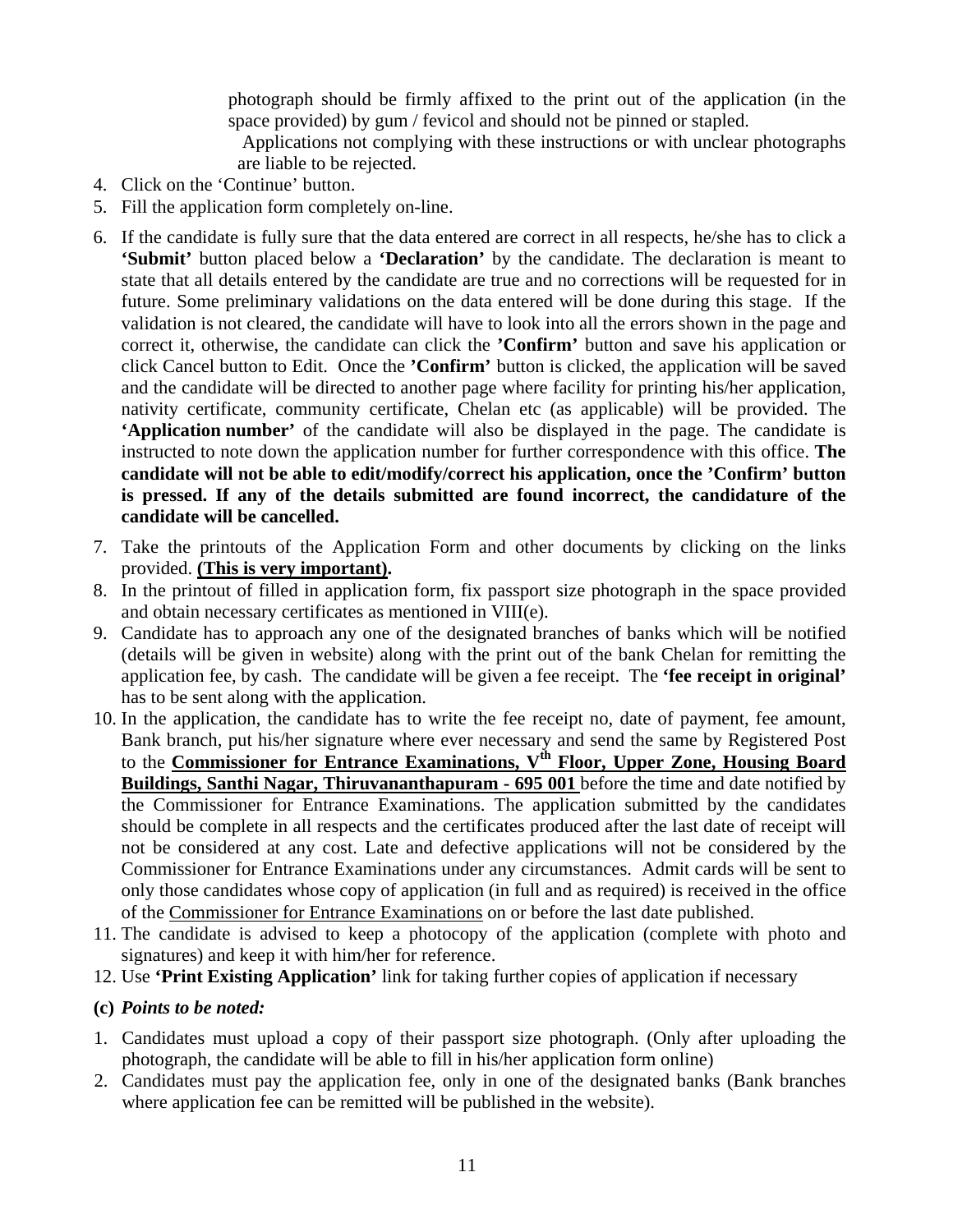photograph should be firmly affixed to the print out of the application (in the space provided) by gum / fevicol and should not be pinned or stapled.

 Applications not complying with these instructions or with unclear photographs are liable to be rejected.

- 4. Click on the 'Continue' button.
- 5. Fill the application form completely on-line.
- 6. If the candidate is fully sure that the data entered are correct in all respects, he/she has to click a **'Submit'** button placed below a **'Declaration'** by the candidate. The declaration is meant to state that all details entered by the candidate are true and no corrections will be requested for in future. Some preliminary validations on the data entered will be done during this stage. If the validation is not cleared, the candidate will have to look into all the errors shown in the page and correct it, otherwise, the candidate can click the **'Confirm'** button and save his application or click Cancel button to Edit. Once the **'Confirm'** button is clicked, the application will be saved and the candidate will be directed to another page where facility for printing his/her application, nativity certificate, community certificate, Chelan etc (as applicable) will be provided. The **'Application number'** of the candidate will also be displayed in the page. The candidate is instructed to note down the application number for further correspondence with this office. **The candidate will not be able to edit/modify/correct his application, once the 'Confirm' button is pressed. If any of the details submitted are found incorrect, the candidature of the candidate will be cancelled.**
- 7. Take the printouts of the Application Form and other documents by clicking on the links provided. **(This is very important).**
- 8. In the printout of filled in application form, fix passport size photograph in the space provided and obtain necessary certificates as mentioned in VIII(e).
- 9. Candidate has to approach any one of the designated branches of banks which will be notified (details will be given in website) along with the print out of the bank Chelan for remitting the application fee, by cash. The candidate will be given a fee receipt. The **'fee receipt in original'** has to be sent along with the application.
- 10. In the application, the candidate has to write the fee receipt no, date of payment, fee amount, Bank branch, put his/her signature where ever necessary and send the same by Registered Post to the **Commissioner for Entrance Examinations, V<sup>th</sup> Floor, Upper Zone, Housing Board Buildings, Santhi Nagar, Thiruvananthapuram - 695 001** before the time and date notified by the Commissioner for Entrance Examinations. The application submitted by the candidates should be complete in all respects and the certificates produced after the last date of receipt will not be considered at any cost. Late and defective applications will not be considered by the Commissioner for Entrance Examinations under any circumstances. Admit cards will be sent to only those candidates whose copy of application (in full and as required) is received in the office of the Commissioner for Entrance Examinations on or before the last date published.
- 11. The candidate is advised to keep a photocopy of the application (complete with photo and signatures) and keep it with him/her for reference.
- 12. Use **'Print Existing Application'** link for taking further copies of application if necessary
- **(c)** *Points to be noted:*
- 1. Candidates must upload a copy of their passport size photograph. (Only after uploading the photograph, the candidate will be able to fill in his/her application form online)
- 2. Candidates must pay the application fee, only in one of the designated banks (Bank branches where application fee can be remitted will be published in the website).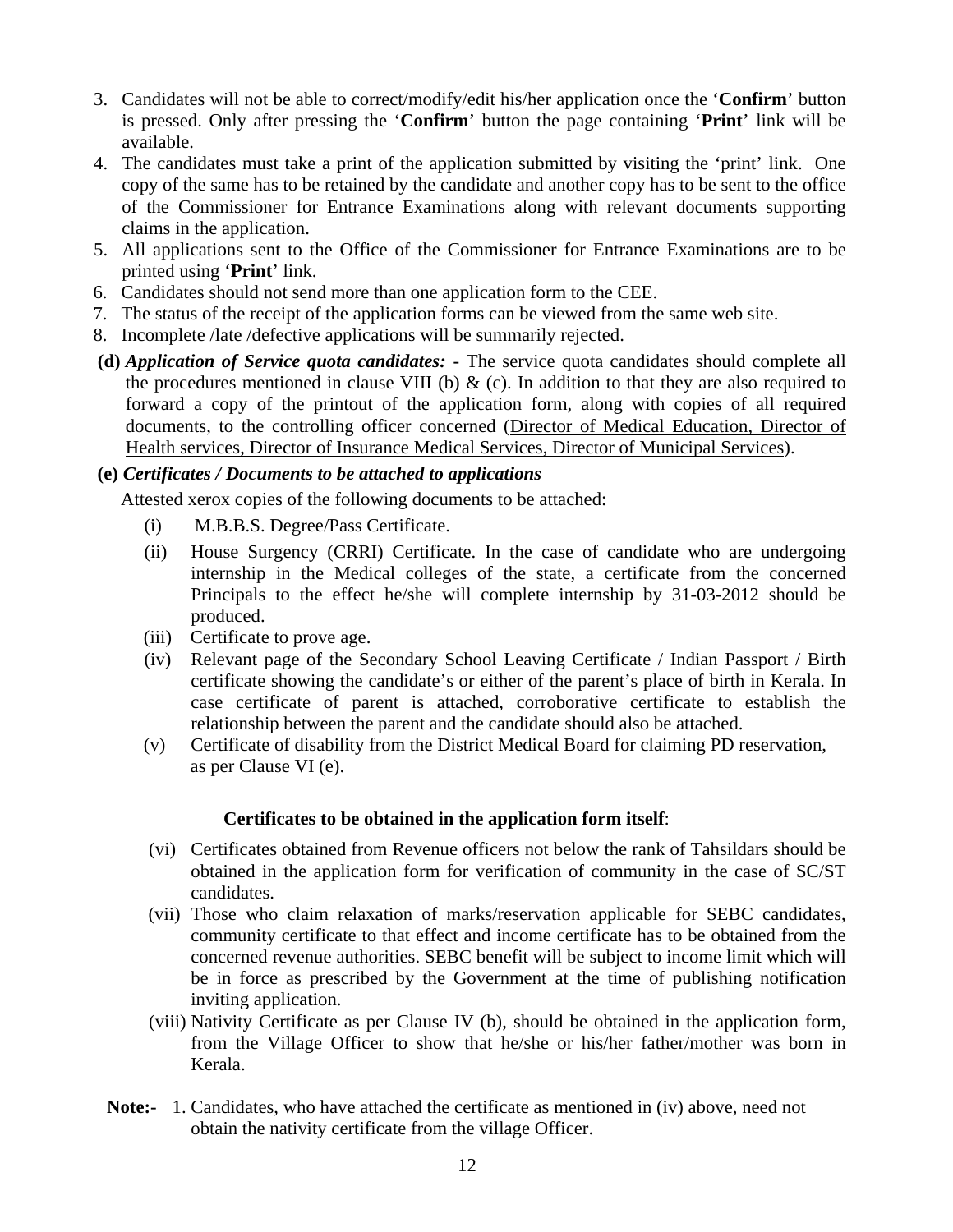- 3. Candidates will not be able to correct/modify/edit his/her application once the '**Confirm**' button is pressed. Only after pressing the '**Confirm**' button the page containing '**Print**' link will be available.
- 4. The candidates must take a print of the application submitted by visiting the 'print' link. One copy of the same has to be retained by the candidate and another copy has to be sent to the office of the Commissioner for Entrance Examinations along with relevant documents supporting claims in the application.
- 5. All applications sent to the Office of the Commissioner for Entrance Examinations are to be printed using '**Print**' link.
- 6. Candidates should not send more than one application form to the CEE.
- 7. The status of the receipt of the application forms can be viewed from the same web site.
- 8. Incomplete /late /defective applications will be summarily rejected.
- **(d)** *Application of Service quota candidates:*The service quota candidates should complete all the procedures mentioned in clause VIII (b)  $\&$  (c). In addition to that they are also required to forward a copy of the printout of the application form, along with copies of all required documents, to the controlling officer concerned (Director of Medical Education, Director of Health services, Director of Insurance Medical Services, Director of Municipal Services).

### **(e)** *Certificates / Documents to be attached to applications*

Attested xerox copies of the following documents to be attached:

- (i) M.B.B.S. Degree/Pass Certificate.
- (ii) House Surgency (CRRI) Certificate. In the case of candidate who are undergoing internship in the Medical colleges of the state, a certificate from the concerned Principals to the effect he/she will complete internship by 31-03-2012 should be produced.
- (iii) Certificate to prove age.
- (iv) Relevant page of the Secondary School Leaving Certificate / Indian Passport / Birth certificate showing the candidate's or either of the parent's place of birth in Kerala. In case certificate of parent is attached, corroborative certificate to establish the relationship between the parent and the candidate should also be attached.
- (v) Certificate of disability from the District Medical Board for claiming PD reservation, as per Clause VI (e).

### **Certificates to be obtained in the application form itself**:

- (vi) Certificates obtained from Revenue officers not below the rank of Tahsildars should be obtained in the application form for verification of community in the case of SC/ST candidates.
- (vii) Those who claim relaxation of marks/reservation applicable for SEBC candidates, community certificate to that effect and income certificate has to be obtained from the concerned revenue authorities. SEBC benefit will be subject to income limit which will be in force as prescribed by the Government at the time of publishing notification inviting application.
- (viii) Nativity Certificate as per Clause IV (b), should be obtained in the application form, from the Village Officer to show that he/she or his/her father/mother was born in Kerala.
- **Note:-** 1. Candidates, who have attached the certificate as mentioned in (iv) above, need not obtain the nativity certificate from the village Officer.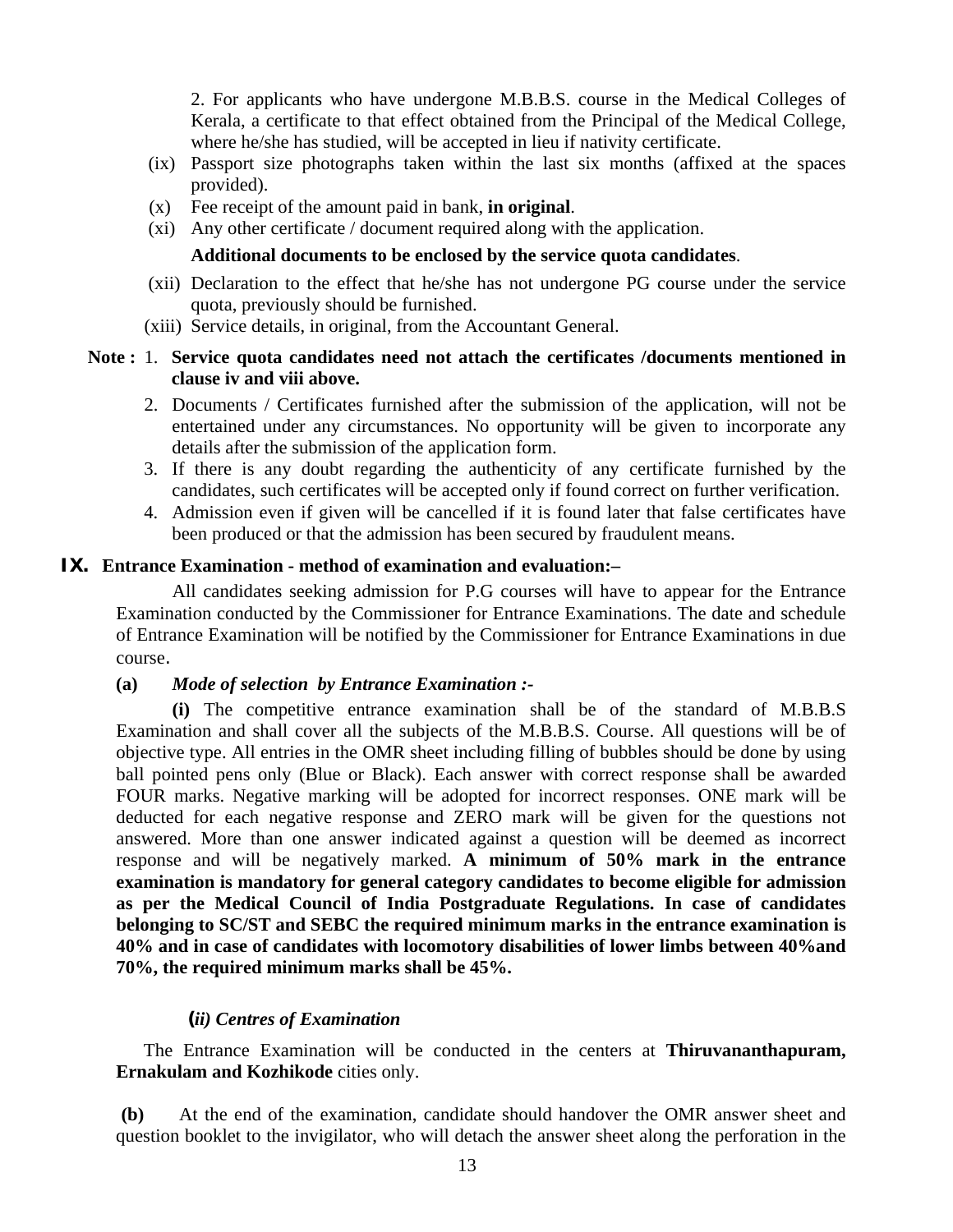2. For applicants who have undergone M.B.B.S. course in the Medical Colleges of Kerala, a certificate to that effect obtained from the Principal of the Medical College, where he/she has studied, will be accepted in lieu if nativity certificate.

- (ix) Passport size photographs taken within the last six months (affixed at the spaces provided).
- (x) Fee receipt of the amount paid in bank, **in original**.
- (xi) Any other certificate / document required along with the application.

### **Additional documents to be enclosed by the service quota candidates**.

- (xii) Declaration to the effect that he/she has not undergone PG course under the service quota, previously should be furnished.
- (xiii) Service details, in original, from the Accountant General.

### **Note :** 1. **Service quota candidates need not attach the certificates /documents mentioned in clause iv and viii above.**

- 2. Documents / Certificates furnished after the submission of the application, will not be entertained under any circumstances. No opportunity will be given to incorporate any details after the submission of the application form.
- 3. If there is any doubt regarding the authenticity of any certificate furnished by the candidates, such certificates will be accepted only if found correct on further verification.
- 4. Admission even if given will be cancelled if it is found later that false certificates have been produced or that the admission has been secured by fraudulent means.

### **IX. Entrance Examination - method of examination and evaluation:–**

 All candidates seeking admission for P.G courses will have to appear for the Entrance Examination conducted by the Commissioner for Entrance Examinations. The date and schedule of Entrance Examination will be notified by the Commissioner for Entrance Examinations in due course.

### **(a)** *Mode of selection by Entrance Examination :-*

**(i)** The competitive entrance examination shall be of the standard of M.B.B.S Examination and shall cover all the subjects of the M.B.B.S. Course. All questions will be of objective type. All entries in the OMR sheet including filling of bubbles should be done by using ball pointed pens only (Blue or Black). Each answer with correct response shall be awarded FOUR marks. Negative marking will be adopted for incorrect responses. ONE mark will be deducted for each negative response and ZERO mark will be given for the questions not answered. More than one answer indicated against a question will be deemed as incorrect response and will be negatively marked. **A minimum of 50% mark in the entrance examination is mandatory for general category candidates to become eligible for admission as per the Medical Council of India Postgraduate Regulations. In case of candidates belonging to SC/ST and SEBC the required minimum marks in the entrance examination is 40% and in case of candidates with locomotory disabilities of lower limbs between 40%and 70%, the required minimum marks shall be 45%.** 

### **(***ii) Centres of Examination*

The Entrance Examination will be conducted in the centers at **Thiruvananthapuram, Ernakulam and Kozhikode** cities only.

**(b)**At the end of the examination, candidate should handover the OMR answer sheet and question booklet to the invigilator, who will detach the answer sheet along the perforation in the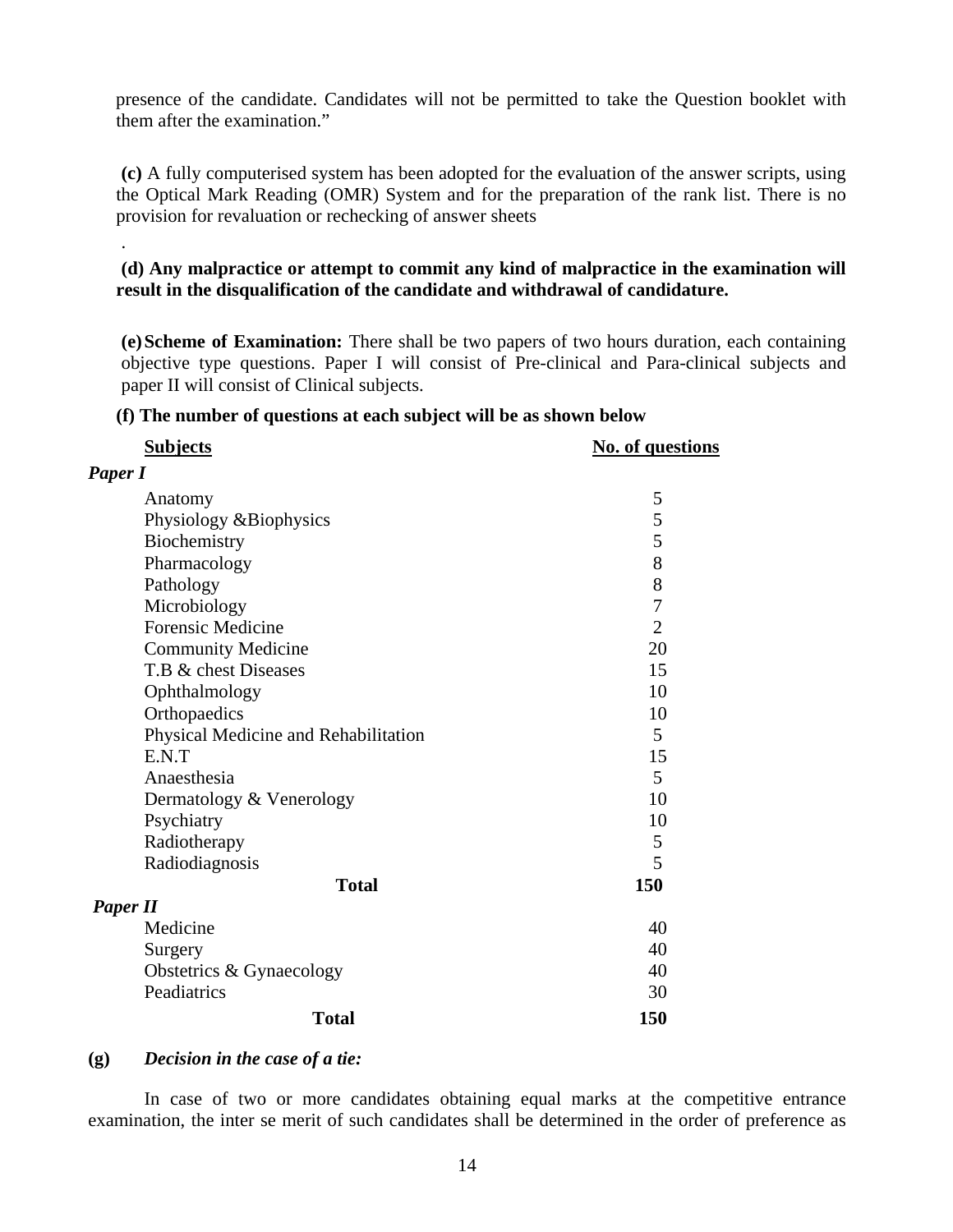presence of the candidate. Candidates will not be permitted to take the Question booklet with them after the examination."

**(c)** A fully computerised system has been adopted for the evaluation of the answer scripts, using the Optical Mark Reading (OMR) System and for the preparation of the rank list. There is no provision for revaluation or rechecking of answer sheets

**(d) Any malpractice or attempt to commit any kind of malpractice in the examination will result in the disqualification of the candidate and withdrawal of candidature.** 

**(e) Scheme of Examination:** There shall be two papers of two hours duration, each containing objective type questions. Paper I will consist of Pre-clinical and Para-clinical subjects and paper II will consist of Clinical subjects.

#### **(f) The number of questions at each subject will be as shown below**

| <b>Subjects</b>                      | <b>No. of questions</b> |
|--------------------------------------|-------------------------|
| Paper I                              |                         |
| Anatomy                              | 5                       |
| Physiology &Biophysics               | 5                       |
| Biochemistry                         | 5                       |
| Pharmacology                         | 8                       |
| Pathology                            | 8                       |
| Microbiology                         | $\overline{7}$          |
| <b>Forensic Medicine</b>             | $\overline{2}$          |
| <b>Community Medicine</b>            | 20                      |
| T.B & chest Diseases                 | 15                      |
| Ophthalmology                        | 10                      |
| Orthopaedics                         | 10                      |
| Physical Medicine and Rehabilitation | 5                       |
| E.N.T                                | 15                      |
| Anaesthesia                          | 5                       |
| Dermatology & Venerology             | 10                      |
| Psychiatry                           | 10                      |
| Radiotherapy                         | 5                       |
| Radiodiagnosis                       | 5                       |
| <b>Total</b>                         | 150                     |
| <b>Paper II</b>                      |                         |
| Medicine                             | 40                      |
| Surgery                              | 40                      |
| Obstetrics & Gynaecology             | 40                      |
| Peadiatrics                          | 30                      |
| <b>Total</b>                         | 150                     |

#### **(g)** *Decision in the case of a tie:*

.

In case of two or more candidates obtaining equal marks at the competitive entrance examination, the inter se merit of such candidates shall be determined in the order of preference as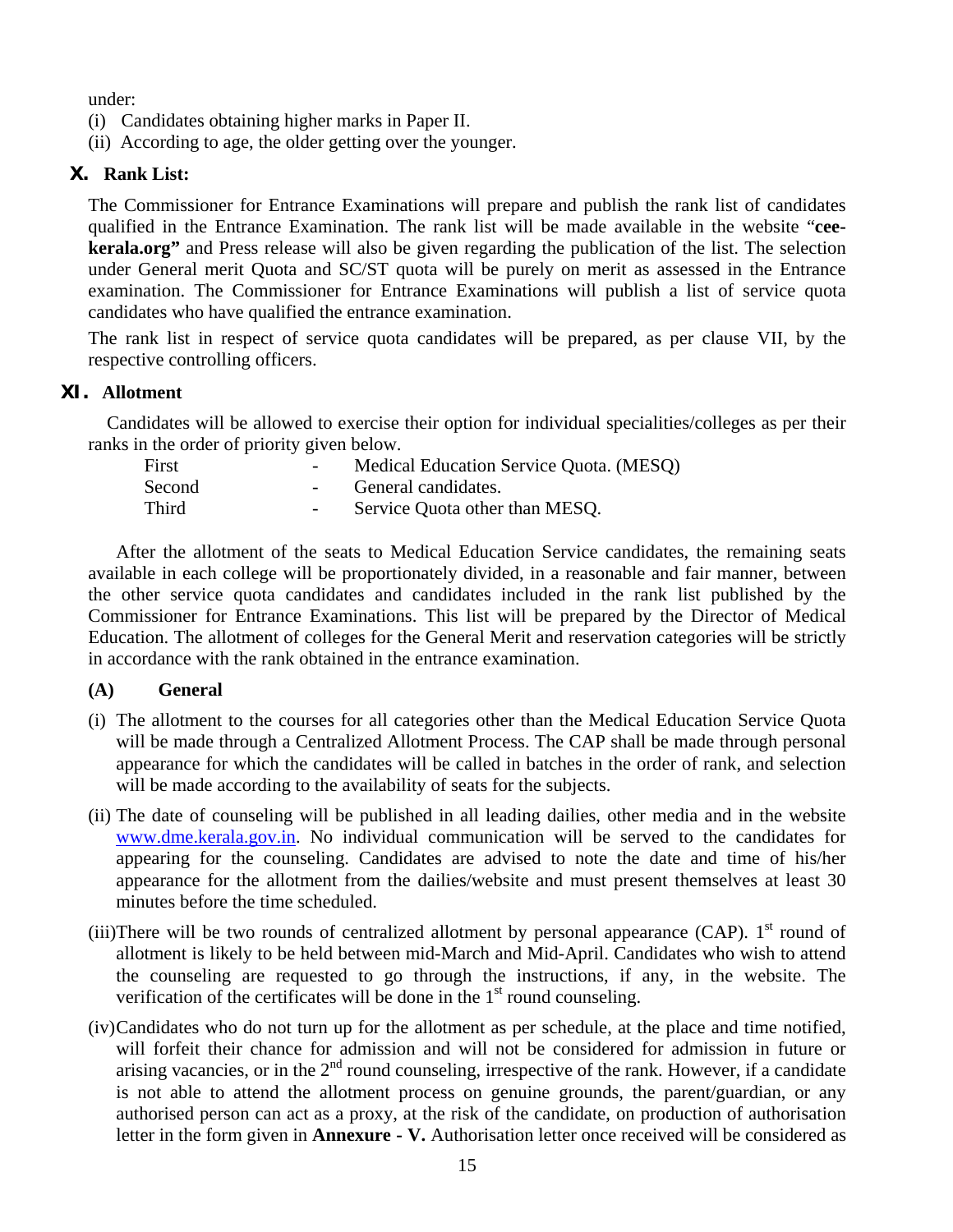under:

- (i) Candidates obtaining higher marks in Paper II.
- (ii) According to age, the older getting over the younger.

### **X. Rank List:**

The Commissioner for Entrance Examinations will prepare and publish the rank list of candidates qualified in the Entrance Examination. The rank list will be made available in the website "**ceekerala.org"** and Press release will also be given regarding the publication of the list. The selection under General merit Quota and SC/ST quota will be purely on merit as assessed in the Entrance examination. The Commissioner for Entrance Examinations will publish a list of service quota candidates who have qualified the entrance examination.

The rank list in respect of service quota candidates will be prepared, as per clause VII, by the respective controlling officers.

### **XI. Allotment**

 Candidates will be allowed to exercise their option for individual specialities/colleges as per their ranks in the order of priority given below.

| First  | $\overline{\phantom{0}}$ | Medical Education Service Quota. (MESQ) |
|--------|--------------------------|-----------------------------------------|
| Second |                          | General candidates.                     |
| Third  | $ \,$                    | Service Quota other than MESQ.          |

 After the allotment of the seats to Medical Education Service candidates, the remaining seats available in each college will be proportionately divided, in a reasonable and fair manner, between the other service quota candidates and candidates included in the rank list published by the Commissioner for Entrance Examinations. This list will be prepared by the Director of Medical Education. The allotment of colleges for the General Merit and reservation categories will be strictly in accordance with the rank obtained in the entrance examination.

### **(A) General**

- (i) The allotment to the courses for all categories other than the Medical Education Service Quota will be made through a Centralized Allotment Process. The CAP shall be made through personal appearance for which the candidates will be called in batches in the order of rank, and selection will be made according to the availability of seats for the subjects.
- (ii) The date of counseling will be published in all leading dailies, other media and in the website www.dme.kerala.gov.in. No individual communication will be served to the candidates for appearing for the counseling. Candidates are advised to note the date and time of his/her appearance for the allotment from the dailies/website and must present themselves at least 30 minutes before the time scheduled.
- (iii)There will be two rounds of centralized allotment by personal appearance (CAP).  $1<sup>st</sup>$  round of allotment is likely to be held between mid-March and Mid-April. Candidates who wish to attend the counseling are requested to go through the instructions, if any, in the website. The verification of the certificates will be done in the  $1<sup>st</sup>$  round counseling.
- (iv)Candidates who do not turn up for the allotment as per schedule, at the place and time notified, will forfeit their chance for admission and will not be considered for admission in future or arising vacancies, or in the  $2<sup>nd</sup>$  round counseling, irrespective of the rank. However, if a candidate is not able to attend the allotment process on genuine grounds, the parent/guardian, or any authorised person can act as a proxy, at the risk of the candidate, on production of authorisation letter in the form given in **Annexure - V.** Authorisation letter once received will be considered as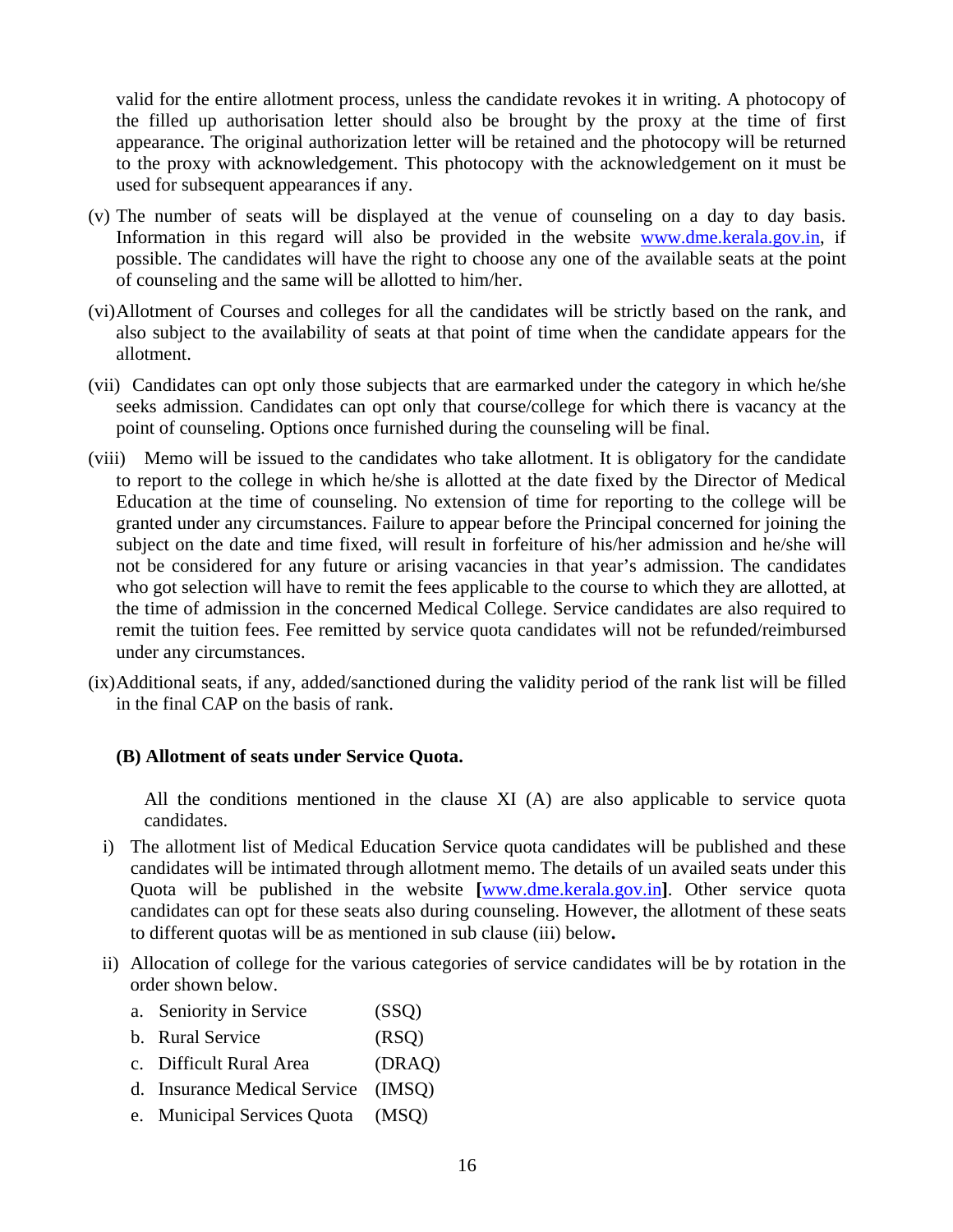valid for the entire allotment process, unless the candidate revokes it in writing. A photocopy of the filled up authorisation letter should also be brought by the proxy at the time of first appearance. The original authorization letter will be retained and the photocopy will be returned to the proxy with acknowledgement. This photocopy with the acknowledgement on it must be used for subsequent appearances if any.

- (v) The number of seats will be displayed at the venue of counseling on a day to day basis. Information in this regard will also be provided in the website www.dme.kerala.gov.in, if possible. The candidates will have the right to choose any one of the available seats at the point of counseling and the same will be allotted to him/her.
- (vi)Allotment of Courses and colleges for all the candidates will be strictly based on the rank, and also subject to the availability of seats at that point of time when the candidate appears for the allotment.
- (vii) Candidates can opt only those subjects that are earmarked under the category in which he/she seeks admission. Candidates can opt only that course/college for which there is vacancy at the point of counseling. Options once furnished during the counseling will be final.
- (viii) Memo will be issued to the candidates who take allotment. It is obligatory for the candidate to report to the college in which he/she is allotted at the date fixed by the Director of Medical Education at the time of counseling. No extension of time for reporting to the college will be granted under any circumstances. Failure to appear before the Principal concerned for joining the subject on the date and time fixed, will result in forfeiture of his/her admission and he/she will not be considered for any future or arising vacancies in that year's admission. The candidates who got selection will have to remit the fees applicable to the course to which they are allotted, at the time of admission in the concerned Medical College. Service candidates are also required to remit the tuition fees. Fee remitted by service quota candidates will not be refunded/reimbursed under any circumstances.
- (ix)Additional seats, if any, added/sanctioned during the validity period of the rank list will be filled in the final CAP on the basis of rank.

#### **(B) Allotment of seats under Service Quota.**

All the conditions mentioned in the clause XI (A) are also applicable to service quota candidates.

- i) The allotment list of Medical Education Service quota candidates will be published and these candidates will be intimated through allotment memo. The details of un availed seats under this Quota will be published in the website **[**www.dme.kerala.gov.in**]**. Other service quota candidates can opt for these seats also during counseling. However, the allotment of these seats to different quotas will be as mentioned in sub clause (iii) below**.**
- ii) Allocation of college for the various categories of service candidates will be by rotation in the order shown below.
	- a. Seniority in Service (SSQ)
	- b. Rural Service (RSO)
	- c. Difficult Rural Area (DRAQ)
	- d. Insurance Medical Service (IMSQ)
	- e. Municipal Services Quota (MSQ)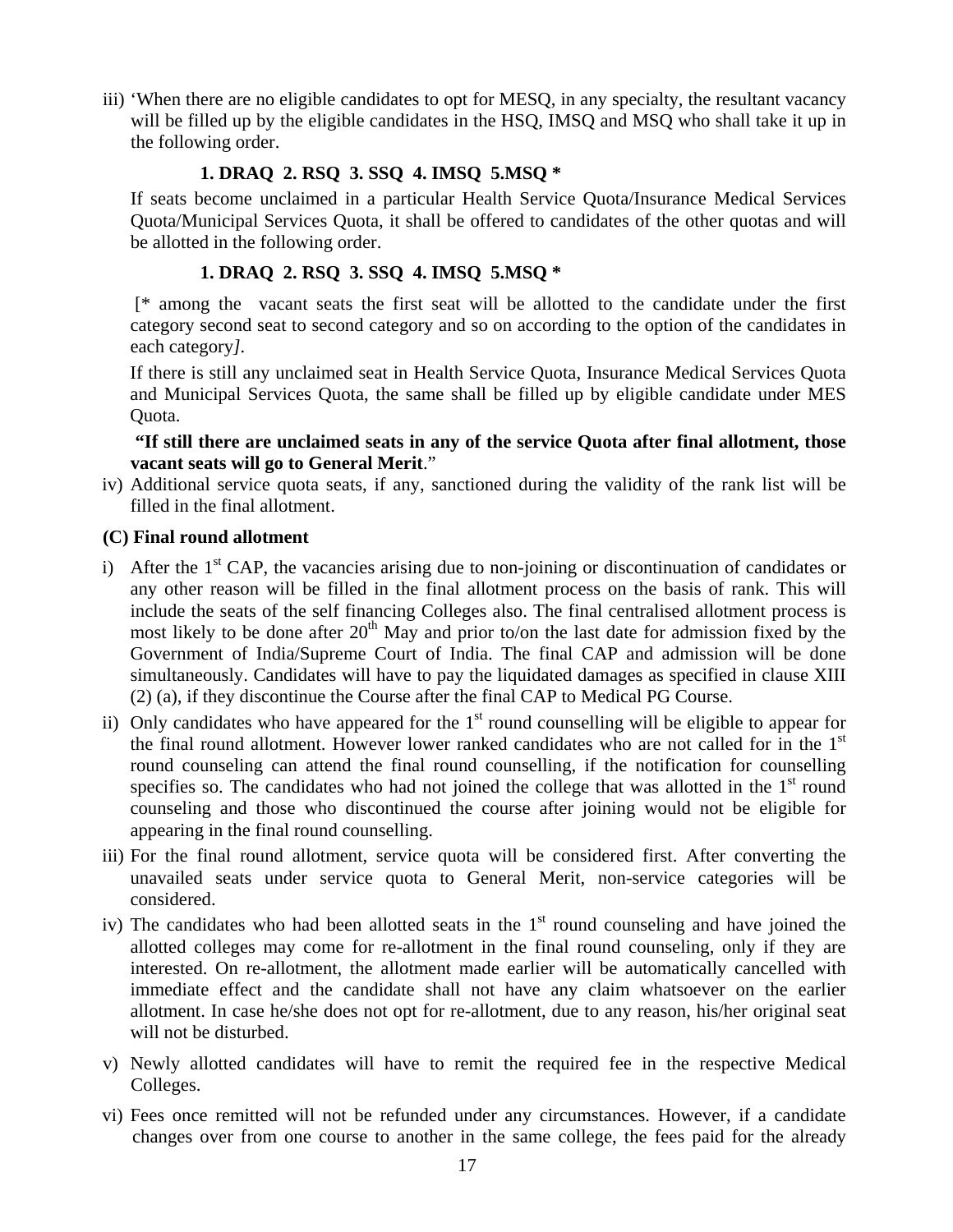iii) 'When there are no eligible candidates to opt for MESQ, in any specialty, the resultant vacancy will be filled up by the eligible candidates in the HSQ, IMSQ and MSQ who shall take it up in the following order.

### **1. DRAQ 2. RSQ 3. SSQ 4. IMSQ 5.MSQ \***

If seats become unclaimed in a particular Health Service Quota/Insurance Medical Services Quota/Municipal Services Quota, it shall be offered to candidates of the other quotas and will be allotted in the following order.

## **1. DRAQ 2. RSQ 3. SSQ 4. IMSQ 5.MSQ \***

[\* among the vacant seats the first seat will be allotted to the candidate under the first category second seat to second category and so on according to the option of the candidates in each category*].* 

If there is still any unclaimed seat in Health Service Quota, Insurance Medical Services Quota and Municipal Services Quota, the same shall be filled up by eligible candidate under MES Quota.

### **"If still there are unclaimed seats in any of the service Quota after final allotment, those vacant seats will go to General Merit**."

iv) Additional service quota seats, if any, sanctioned during the validity of the rank list will be filled in the final allotment.

### **(C) Final round allotment**

- i) After the  $1<sup>st</sup>$  CAP, the vacancies arising due to non-joining or discontinuation of candidates or any other reason will be filled in the final allotment process on the basis of rank. This will include the seats of the self financing Colleges also. The final centralised allotment process is most likely to be done after  $20<sup>th</sup>$  May and prior to/on the last date for admission fixed by the Government of India/Supreme Court of India. The final CAP and admission will be done simultaneously. Candidates will have to pay the liquidated damages as specified in clause XIII (2) (a), if they discontinue the Course after the final CAP to Medical PG Course.
- ii) Only candidates who have appeared for the  $1<sup>st</sup>$  round counselling will be eligible to appear for the final round allotment. However lower ranked candidates who are not called for in the 1<sup>st</sup> round counseling can attend the final round counselling, if the notification for counselling specifies so. The candidates who had not joined the college that was allotted in the  $1<sup>st</sup>$  round counseling and those who discontinued the course after joining would not be eligible for appearing in the final round counselling.
- iii) For the final round allotment, service quota will be considered first. After converting the unavailed seats under service quota to General Merit, non-service categories will be considered.
- iv) The candidates who had been allotted seats in the  $1<sup>st</sup>$  round counseling and have joined the allotted colleges may come for re-allotment in the final round counseling, only if they are interested. On re-allotment, the allotment made earlier will be automatically cancelled with immediate effect and the candidate shall not have any claim whatsoever on the earlier allotment. In case he/she does not opt for re-allotment, due to any reason, his/her original seat will not be disturbed.
- v) Newly allotted candidates will have to remit the required fee in the respective Medical Colleges.
- vi) Fees once remitted will not be refunded under any circumstances. However, if a candidate changes over from one course to another in the same college, the fees paid for the already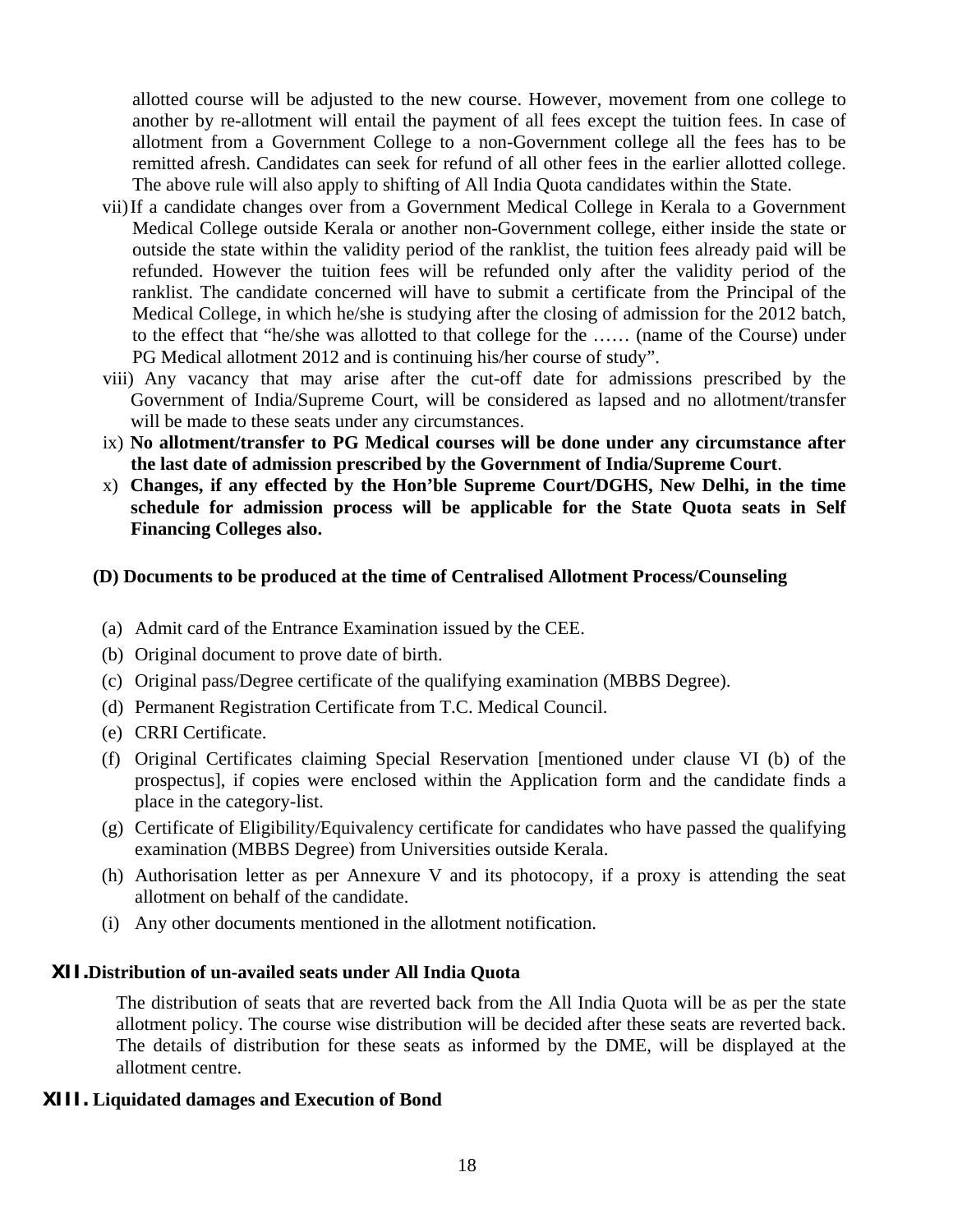allotted course will be adjusted to the new course. However, movement from one college to another by re-allotment will entail the payment of all fees except the tuition fees. In case of allotment from a Government College to a non-Government college all the fees has to be remitted afresh. Candidates can seek for refund of all other fees in the earlier allotted college. The above rule will also apply to shifting of All India Quota candidates within the State.

- vii)If a candidate changes over from a Government Medical College in Kerala to a Government Medical College outside Kerala or another non-Government college, either inside the state or outside the state within the validity period of the ranklist, the tuition fees already paid will be refunded. However the tuition fees will be refunded only after the validity period of the ranklist. The candidate concerned will have to submit a certificate from the Principal of the Medical College, in which he/she is studying after the closing of admission for the 2012 batch, to the effect that "he/she was allotted to that college for the …… (name of the Course) under PG Medical allotment 2012 and is continuing his/her course of study".
- viii) Any vacancy that may arise after the cut-off date for admissions prescribed by the Government of India/Supreme Court, will be considered as lapsed and no allotment/transfer will be made to these seats under any circumstances.
- ix) **No allotment/transfer to PG Medical courses will be done under any circumstance after the last date of admission prescribed by the Government of India/Supreme Court**.
- x) **Changes, if any effected by the Hon'ble Supreme Court/DGHS, New Delhi, in the time schedule for admission process will be applicable for the State Quota seats in Self Financing Colleges also.**

#### **(D) Documents to be produced at the time of Centralised Allotment Process/Counseling**

- (a) Admit card of the Entrance Examination issued by the CEE.
- (b) Original document to prove date of birth.
- (c) Original pass/Degree certificate of the qualifying examination (MBBS Degree).
- (d) Permanent Registration Certificate from T.C. Medical Council.
- (e) CRRI Certificate.
- (f) Original Certificates claiming Special Reservation [mentioned under clause VI (b) of the prospectus], if copies were enclosed within the Application form and the candidate finds a place in the category-list.
- (g) Certificate of Eligibility/Equivalency certificate for candidates who have passed the qualifying examination (MBBS Degree) from Universities outside Kerala.
- (h) Authorisation letter as per Annexure V and its photocopy, if a proxy is attending the seat allotment on behalf of the candidate.
- (i) Any other documents mentioned in the allotment notification.

### **XII.Distribution of un-availed seats under All India Quota**

The distribution of seats that are reverted back from the All India Quota will be as per the state allotment policy. The course wise distribution will be decided after these seats are reverted back. The details of distribution for these seats as informed by the DME, will be displayed at the allotment centre.

### **XIII. Liquidated damages and Execution of Bond**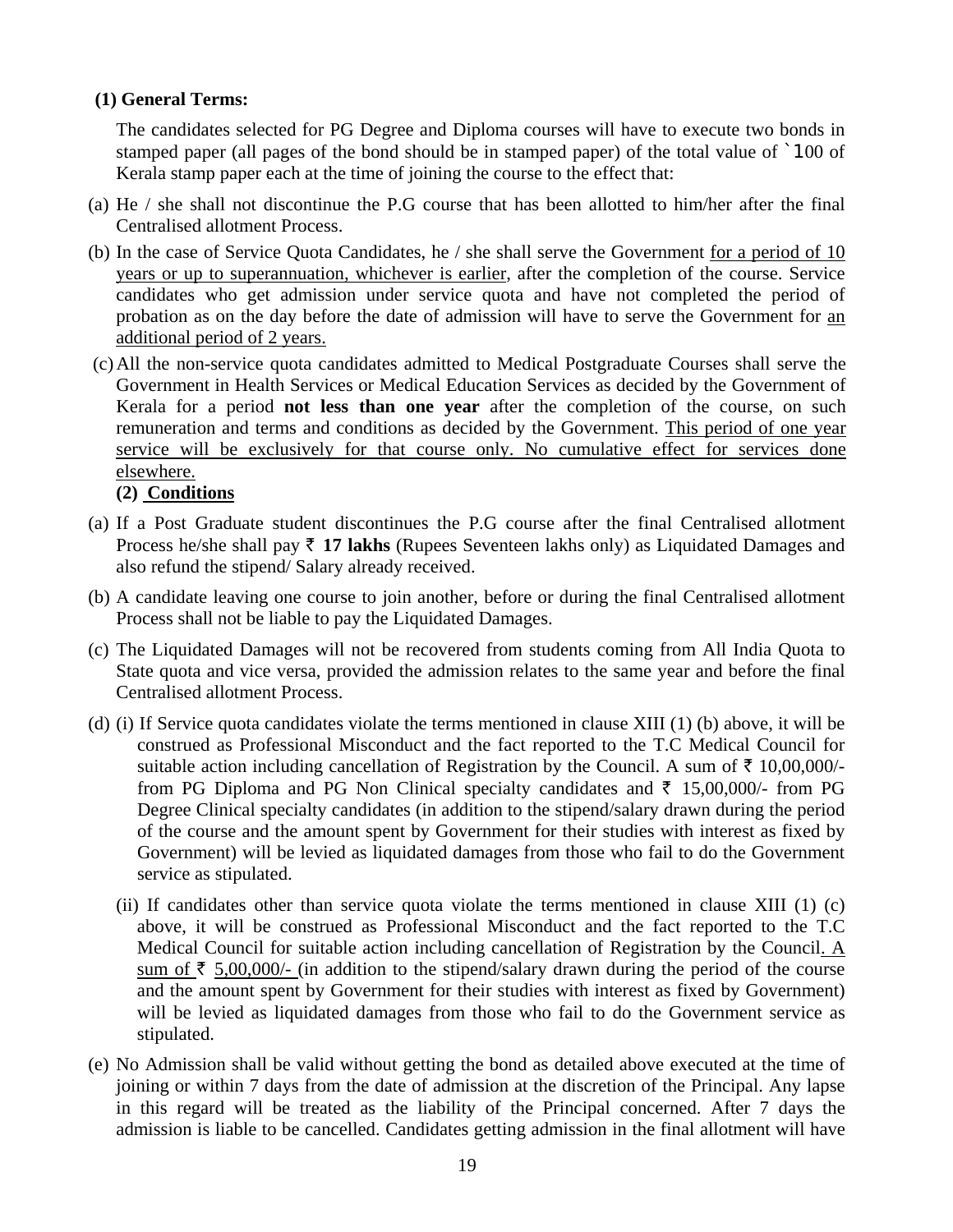### **(1) General Terms:**

The candidates selected for PG Degree and Diploma courses will have to execute two bonds in stamped paper (all pages of the bond should be in stamped paper) of the total value of `100 of Kerala stamp paper each at the time of joining the course to the effect that:

- (a) He / she shall not discontinue the P.G course that has been allotted to him/her after the final Centralised allotment Process.
- (b) In the case of Service Quota Candidates, he / she shall serve the Government for a period of 10 years or up to superannuation, whichever is earlier, after the completion of the course. Service candidates who get admission under service quota and have not completed the period of probation as on the day before the date of admission will have to serve the Government for an additional period of 2 years.
- (c) All the non-service quota candidates admitted to Medical Postgraduate Courses shall serve the Government in Health Services or Medical Education Services as decided by the Government of Kerala for a period **not less than one year** after the completion of the course, on such remuneration and terms and conditions as decided by the Government. This period of one year service will be exclusively for that course only. No cumulative effect for services done elsewhere.

### **(2) Conditions**

- (a) If a Post Graduate student discontinues the P.G course after the final Centralised allotment Process he/she shall pay  $\bar{\tau}$  17 lakhs (Rupees Seventeen lakhs only) as Liquidated Damages and also refund the stipend/ Salary already received.
- (b) A candidate leaving one course to join another, before or during the final Centralised allotment Process shall not be liable to pay the Liquidated Damages.
- (c) The Liquidated Damages will not be recovered from students coming from All India Quota to State quota and vice versa, provided the admission relates to the same year and before the final Centralised allotment Process.
- (d) (i) If Service quota candidates violate the terms mentioned in clause XIII (1) (b) above, it will be construed as Professional Misconduct and the fact reported to the T.C Medical Council for suitable action including cancellation of Registration by the Council. A sum of  $\bar{\tau}$  10,00,000/from PG Diploma and PG Non Clinical specialty candidates and  $\bar{\tau}$  15,00,000/- from PG Degree Clinical specialty candidates (in addition to the stipend/salary drawn during the period of the course and the amount spent by Government for their studies with interest as fixed by Government) will be levied as liquidated damages from those who fail to do the Government service as stipulated.
	- (ii) If candidates other than service quota violate the terms mentioned in clause XIII (1) (c) above, it will be construed as Professional Misconduct and the fact reported to the T.C Medical Council for suitable action including cancellation of Registration by the Council. A sum of  $\bar{\tau}$  5,00,000/- (in addition to the stipend/salary drawn during the period of the course and the amount spent by Government for their studies with interest as fixed by Government) will be levied as liquidated damages from those who fail to do the Government service as stipulated.
- (e) No Admission shall be valid without getting the bond as detailed above executed at the time of joining or within 7 days from the date of admission at the discretion of the Principal. Any lapse in this regard will be treated as the liability of the Principal concerned. After 7 days the admission is liable to be cancelled. Candidates getting admission in the final allotment will have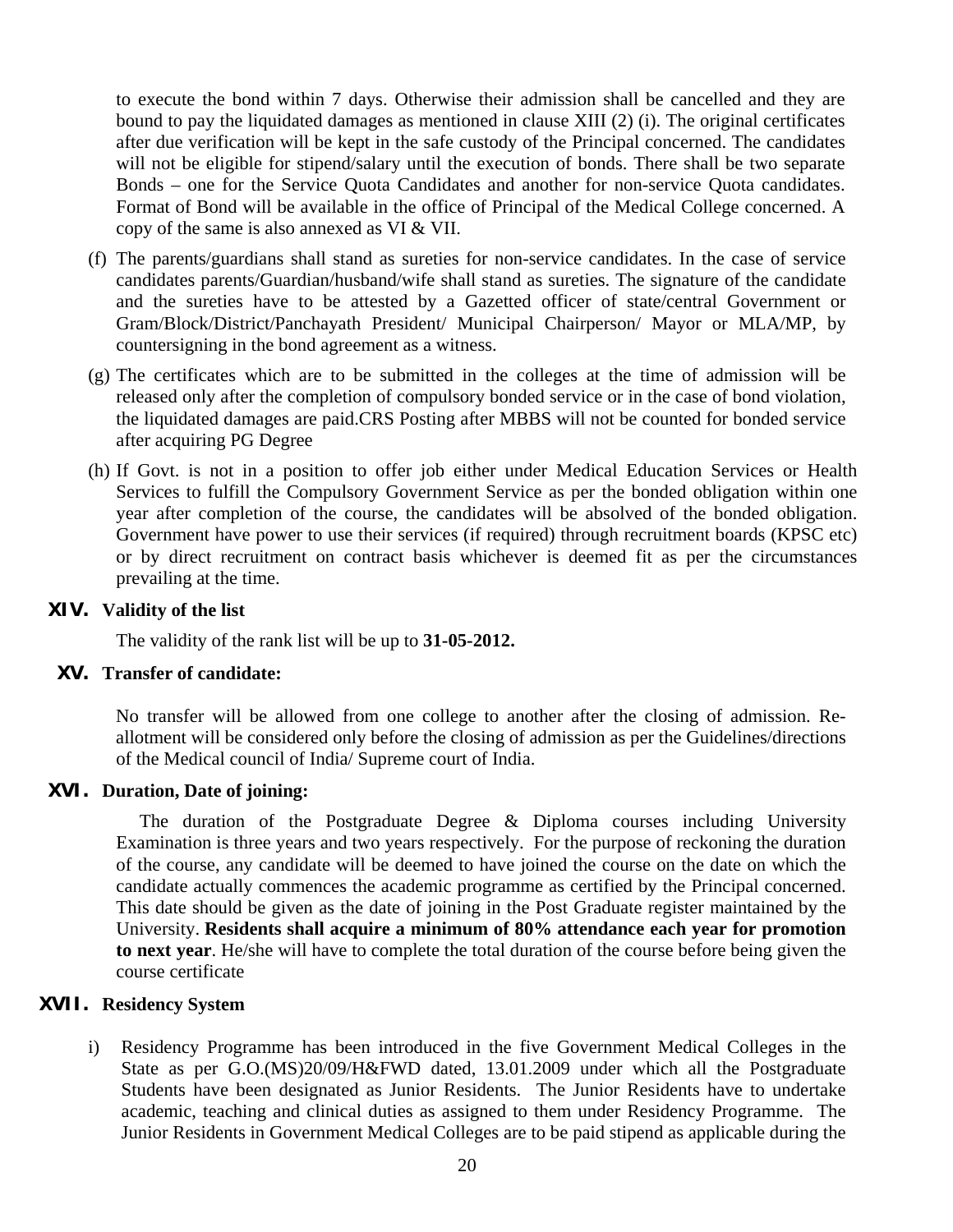to execute the bond within 7 days. Otherwise their admission shall be cancelled and they are bound to pay the liquidated damages as mentioned in clause XIII (2) (i). The original certificates after due verification will be kept in the safe custody of the Principal concerned. The candidates will not be eligible for stipend/salary until the execution of bonds. There shall be two separate Bonds – one for the Service Quota Candidates and another for non-service Quota candidates. Format of Bond will be available in the office of Principal of the Medical College concerned. A copy of the same is also annexed as VI & VII.

- (f) The parents/guardians shall stand as sureties for non-service candidates. In the case of service candidates parents/Guardian/husband/wife shall stand as sureties. The signature of the candidate and the sureties have to be attested by a Gazetted officer of state/central Government or Gram/Block/District/Panchayath President/ Municipal Chairperson/ Mayor or MLA/MP, by countersigning in the bond agreement as a witness.
- (g) The certificates which are to be submitted in the colleges at the time of admission will be released only after the completion of compulsory bonded service or in the case of bond violation, the liquidated damages are paid.CRS Posting after MBBS will not be counted for bonded service after acquiring PG Degree
- (h) If Govt. is not in a position to offer job either under Medical Education Services or Health Services to fulfill the Compulsory Government Service as per the bonded obligation within one year after completion of the course, the candidates will be absolved of the bonded obligation. Government have power to use their services (if required) through recruitment boards (KPSC etc) or by direct recruitment on contract basis whichever is deemed fit as per the circumstances prevailing at the time.

#### **XIV. Validity of the list**

The validity of the rank list will be up to **31-05-2012.**

### **XV. Transfer of candidate:**

No transfer will be allowed from one college to another after the closing of admission. Reallotment will be considered only before the closing of admission as per the Guidelines/directions of the Medical council of India/ Supreme court of India.

### **XVI. Duration, Date of joining:**

 The duration of the Postgraduate Degree & Diploma courses including University Examination is three years and two years respectively. For the purpose of reckoning the duration of the course, any candidate will be deemed to have joined the course on the date on which the candidate actually commences the academic programme as certified by the Principal concerned. This date should be given as the date of joining in the Post Graduate register maintained by the University. **Residents shall acquire a minimum of 80% attendance each year for promotion to next year**. He/she will have to complete the total duration of the course before being given the course certificate

### **XVII. Residency System**

i) Residency Programme has been introduced in the five Government Medical Colleges in the State as per G.O.(MS)20/09/H&FWD dated, 13.01.2009 under which all the Postgraduate Students have been designated as Junior Residents. The Junior Residents have to undertake academic, teaching and clinical duties as assigned to them under Residency Programme. The Junior Residents in Government Medical Colleges are to be paid stipend as applicable during the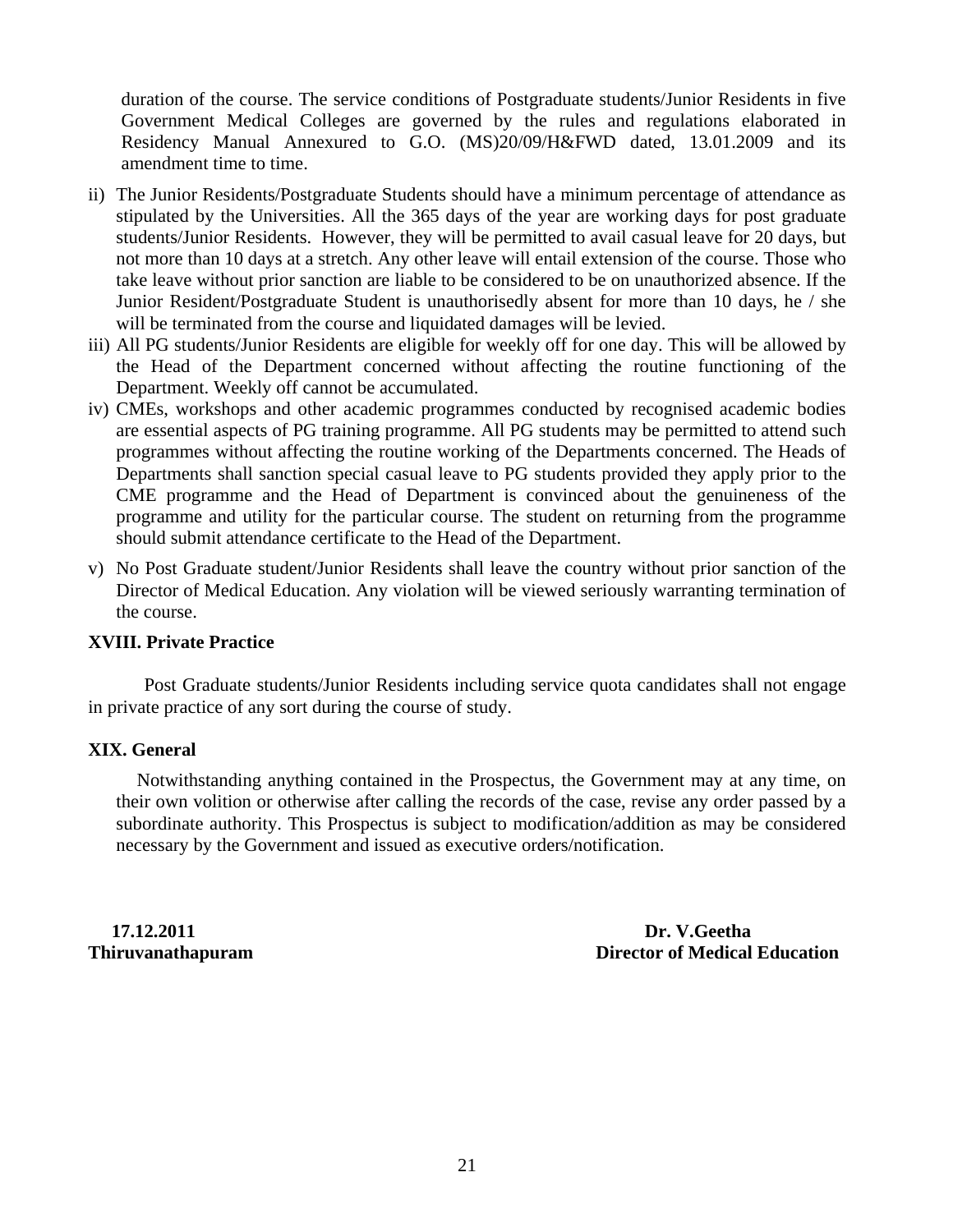duration of the course. The service conditions of Postgraduate students/Junior Residents in five Government Medical Colleges are governed by the rules and regulations elaborated in Residency Manual Annexured to G.O. (MS)20/09/H&FWD dated, 13.01.2009 and its amendment time to time.

- ii) The Junior Residents/Postgraduate Students should have a minimum percentage of attendance as stipulated by the Universities. All the 365 days of the year are working days for post graduate students/Junior Residents. However, they will be permitted to avail casual leave for 20 days, but not more than 10 days at a stretch. Any other leave will entail extension of the course. Those who take leave without prior sanction are liable to be considered to be on unauthorized absence. If the Junior Resident/Postgraduate Student is unauthorisedly absent for more than 10 days, he / she will be terminated from the course and liquidated damages will be levied.
- iii) All PG students/Junior Residents are eligible for weekly off for one day. This will be allowed by the Head of the Department concerned without affecting the routine functioning of the Department. Weekly off cannot be accumulated.
- iv) CMEs, workshops and other academic programmes conducted by recognised academic bodies are essential aspects of PG training programme. All PG students may be permitted to attend such programmes without affecting the routine working of the Departments concerned. The Heads of Departments shall sanction special casual leave to PG students provided they apply prior to the CME programme and the Head of Department is convinced about the genuineness of the programme and utility for the particular course. The student on returning from the programme should submit attendance certificate to the Head of the Department.
- v) No Post Graduate student/Junior Residents shall leave the country without prior sanction of the Director of Medical Education. Any violation will be viewed seriously warranting termination of the course.

### **XVIII. Private Practice**

 Post Graduate students/Junior Residents including service quota candidates shall not engage in private practice of any sort during the course of study.

#### **XIX. General**

 Notwithstanding anything contained in the Prospectus, the Government may at any time, on their own volition or otherwise after calling the records of the case, revise any order passed by a subordinate authority. This Prospectus is subject to modification/addition as may be considered necessary by the Government and issued as executive orders/notification.

 **17.12.2011 Dr. V.Geetha Thiruvanathapuram Community Community Community Community Community Community Community Community Community Community Community Community Community Community Community Community Community Community Community Community Com**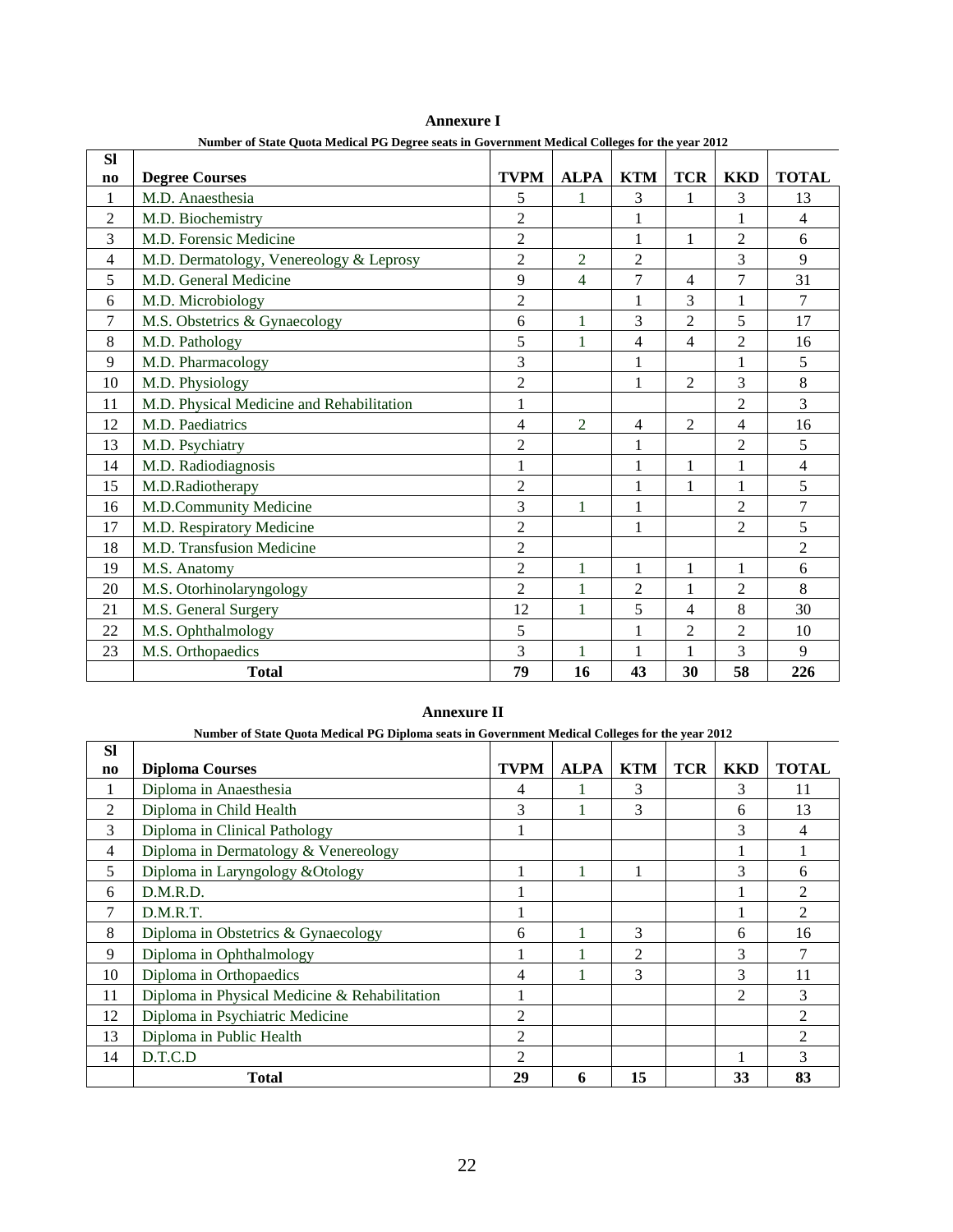| <b>Sl</b> | ivultiber of state Quota Medical FG Degree seats in Government Medical Coneges for the year 2012 |                |                |                |                |                |                |
|-----------|--------------------------------------------------------------------------------------------------|----------------|----------------|----------------|----------------|----------------|----------------|
| $\bf{no}$ | <b>Degree Courses</b>                                                                            | <b>TVPM</b>    | <b>ALPA</b>    | <b>KTM</b>     | <b>TCR</b>     | <b>KKD</b>     | <b>TOTAL</b>   |
| 1         | M.D. Anaesthesia                                                                                 | 5              |                | 3              | 1              | 3              | 13             |
| 2         | M.D. Biochemistry                                                                                | $\overline{2}$ |                | 1              |                |                | $\overline{4}$ |
| 3         | M.D. Forensic Medicine                                                                           | $\overline{c}$ |                |                | 1              | 2              | 6              |
| 4         | M.D. Dermatology, Venereology & Leprosy                                                          | $\overline{2}$ | $\overline{2}$ | $\overline{2}$ |                | 3              | 9              |
| 5         | M.D. General Medicine                                                                            | 9              | $\overline{4}$ | 7              | $\overline{4}$ | 7              | 31             |
| 6         | M.D. Microbiology                                                                                | $\overline{2}$ |                | 1              | 3              | $\mathbf{1}$   | $\overline{7}$ |
| 7         | M.S. Obstetrics & Gynaecology                                                                    | 6              | 1              | 3              | $\overline{2}$ | 5              | 17             |
| 8         | M.D. Pathology                                                                                   | 5              | 1              | $\overline{4}$ | $\overline{4}$ | $\overline{2}$ | 16             |
| 9         | M.D. Pharmacology                                                                                | 3              |                |                |                |                | 5              |
| 10        | M.D. Physiology                                                                                  | $\overline{2}$ |                |                | $\overline{2}$ | 3              | 8              |
| 11        | M.D. Physical Medicine and Rehabilitation                                                        | $\,1$          |                |                |                | $\overline{c}$ | 3              |
| 12        | M.D. Paediatrics                                                                                 | 4              | $\overline{2}$ | $\overline{4}$ | $\overline{2}$ | 4              | 16             |
| 13        | M.D. Psychiatry                                                                                  | $\overline{2}$ |                | 1              |                | $\overline{2}$ | 5              |
| 14        | M.D. Radiodiagnosis                                                                              | 1              |                | 1              | $\mathbf{1}$   | 1              | 4              |
| 15        | M.D.Radiotherapy                                                                                 | $\overline{2}$ |                |                | 1              |                | 5              |
| 16        | M.D.Community Medicine                                                                           | $\overline{3}$ | $\mathbf{1}$   |                |                | $\overline{2}$ | $\overline{7}$ |
| 17        | M.D. Respiratory Medicine                                                                        | $\overline{2}$ |                | 1              |                | $\overline{2}$ | 5              |
| 18        | M.D. Transfusion Medicine                                                                        | $\overline{c}$ |                |                |                |                | $\overline{c}$ |
| 19        | M.S. Anatomy                                                                                     | $\overline{2}$ | 1              | $\mathbf{1}$   | $\mathbf{1}$   | $\mathbf{1}$   | 6              |
| 20        | M.S. Otorhinolaryngology                                                                         | $\overline{2}$ | 1              | $\overline{2}$ | 1              | $\overline{2}$ | 8              |
| 21        | M.S. General Surgery                                                                             | 12             | 1              | 5              | 4              | 8              | 30             |
| 22        | M.S. Ophthalmology                                                                               | 5              |                |                | $\overline{c}$ | 2              | 10             |
| 23        | M.S. Orthopaedics                                                                                | $\overline{3}$ | 1              |                |                | 3              | 9              |
|           | <b>Total</b>                                                                                     | 79             | 16             | 43             | 30             | 58             | 226            |

**Annexure I Number of State Quota Medical PG Degree seats in Government Medical Colleges for the year 2012** 

#### **Annexure II**

|           | Number of State Quota Medical PG Diploma seats in Government Medical Colleges for the year 2012 |                |             |            |            |                |                             |
|-----------|-------------------------------------------------------------------------------------------------|----------------|-------------|------------|------------|----------------|-----------------------------|
| <b>SI</b> |                                                                                                 |                |             |            |            |                |                             |
| no        | <b>Diploma Courses</b>                                                                          | <b>TVPM</b>    | <b>ALPA</b> | <b>KTM</b> | <b>TCR</b> | <b>KKD</b>     | <b>TOTAL</b>                |
| 1         | Diploma in Anaesthesia                                                                          | 4              |             | 3          |            | 3              | 11                          |
| 2         | Diploma in Child Health                                                                         | 3              |             | 3          |            | 6              | 13                          |
| 3         | Diploma in Clinical Pathology                                                                   |                |             |            |            | 3              | 4                           |
| 4         | Diploma in Dermatology & Venereology                                                            |                |             |            |            |                |                             |
| 5         | Diploma in Laryngology & Otology                                                                |                |             |            |            | 3              | 6                           |
| 6         | D.M.R.D.                                                                                        |                |             |            |            |                | $\mathfrak{D}$              |
| 7         | D.M.R.T.                                                                                        |                |             |            |            |                | $\overline{c}$              |
| 8         | Diploma in Obstetrics & Gynaecology                                                             | 6              |             | 3          |            | 6              | 16                          |
| 9         | Diploma in Ophthalmology                                                                        |                |             | 2          |            | 3              |                             |
| 10        | Diploma in Orthopaedics                                                                         | 4              |             | 3          |            | 3              | 11                          |
| 11        | Diploma in Physical Medicine & Rehabilitation                                                   |                |             |            |            | $\mathfrak{D}$ | 3                           |
| 12        | Diploma in Psychiatric Medicine                                                                 | 2              |             |            |            |                | $\mathfrak{D}$              |
| 13        | Diploma in Public Health                                                                        | 2              |             |            |            |                | $\mathcal{D}_{\mathcal{L}}$ |
| 14        | D.T.C.D                                                                                         | $\mathfrak{D}$ |             |            |            |                | 3                           |
|           | <b>Total</b>                                                                                    | 29             | 6           | 15         |            | 33             | 83                          |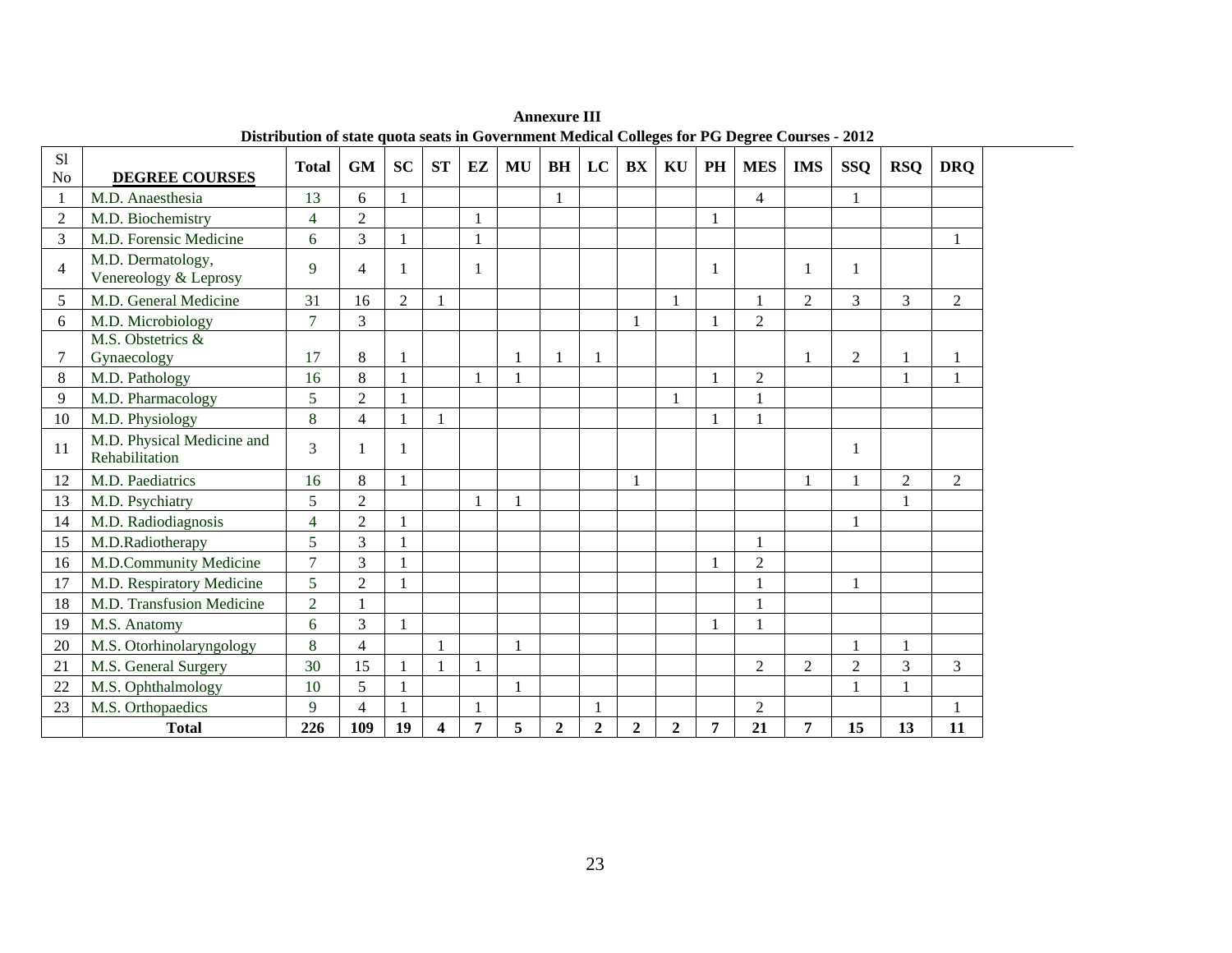| S <sub>1</sub><br>N <sub>o</sub> | <b>DEGREE COURSES</b>                        | <b>Total</b>   | <b>GM</b>      | <b>SC</b>      | <b>ST</b>    | EZ           | MU           | <b>BH</b>        | LC               | BX               | KU             | PH           | <b>MES</b>     | <b>IMS</b>     | <b>SSQ</b>     | <b>RSQ</b>     | <b>DRO</b>     |
|----------------------------------|----------------------------------------------|----------------|----------------|----------------|--------------|--------------|--------------|------------------|------------------|------------------|----------------|--------------|----------------|----------------|----------------|----------------|----------------|
| 1                                | M.D. Anaesthesia                             | 13             | 6              |                |              |              |              |                  |                  |                  |                |              | $\overline{4}$ |                |                |                |                |
| $\overline{2}$                   | M.D. Biochemistry                            | $\overline{4}$ | $\overline{2}$ |                |              | $\mathbf{1}$ |              |                  |                  |                  |                |              |                |                |                |                |                |
| 3                                | M.D. Forensic Medicine                       | 6              | 3              |                |              | $\mathbf{1}$ |              |                  |                  |                  |                |              |                |                |                |                | $\mathbf{1}$   |
| 4                                | M.D. Dermatology,<br>Venereology & Leprosy   | 9              | 4              |                |              | 1            |              |                  |                  |                  |                | 1            |                |                |                |                |                |
| 5                                | M.D. General Medicine                        | 31             | 16             | $\overline{2}$ |              |              |              |                  |                  |                  | $\mathbf{1}$   |              |                | 2              | 3              | 3              | $\overline{2}$ |
| 6                                | M.D. Microbiology                            | $\tau$         | 3              |                |              |              |              |                  |                  |                  |                | $\mathbf{1}$ | $\overline{2}$ |                |                |                |                |
| 7                                | M.S. Obstetrics &<br>Gynaecology             | 17             | 8              |                |              |              | $\mathbf{1}$ |                  |                  |                  |                |              |                |                | $\overline{2}$ |                |                |
| 8                                | M.D. Pathology                               | 16             | 8              |                |              |              | $\mathbf{1}$ |                  |                  |                  |                | 1            | $\overline{2}$ |                |                | $\mathbf{1}$   | $\mathbf{1}$   |
| 9                                | M.D. Pharmacology                            | 5              | $\overline{2}$ |                |              |              |              |                  |                  |                  | 1              |              |                |                |                |                |                |
| 10                               | M.D. Physiology                              | 8              | $\overline{4}$ |                | $\mathbf{1}$ |              |              |                  |                  |                  |                | 1            | $\mathbf{1}$   |                |                |                |                |
| 11                               | M.D. Physical Medicine and<br>Rehabilitation | 3              |                |                |              |              |              |                  |                  |                  |                |              |                |                | $\mathbf{1}$   |                |                |
| 12                               | M.D. Paediatrics                             | 16             | 8              |                |              |              |              |                  |                  |                  |                |              |                |                |                | $\overline{2}$ | 2              |
| 13                               | M.D. Psychiatry                              | 5              | $\overline{2}$ |                |              |              | $\mathbf{1}$ |                  |                  |                  |                |              |                |                |                |                |                |
| 14                               | M.D. Radiodiagnosis                          | $\overline{4}$ | $\overline{2}$ |                |              |              |              |                  |                  |                  |                |              |                |                |                |                |                |
| 15                               | M.D.Radiotherapy                             | 5              | 3              |                |              |              |              |                  |                  |                  |                |              |                |                |                |                |                |
| 16                               | M.D.Community Medicine                       | $\overline{7}$ | 3              |                |              |              |              |                  |                  |                  |                | $\mathbf{1}$ | $\overline{2}$ |                |                |                |                |
| 17                               | M.D. Respiratory Medicine                    | 5              | $\overline{2}$ |                |              |              |              |                  |                  |                  |                |              |                |                |                |                |                |
| 18                               | M.D. Transfusion Medicine                    | $\overline{2}$ |                |                |              |              |              |                  |                  |                  |                |              |                |                |                |                |                |
| 19                               | M.S. Anatomy                                 | 6              | 3              |                |              |              |              |                  |                  |                  |                | 1            | 1              |                |                |                |                |
| 20                               | M.S. Otorhinolaryngology                     | 8              | $\overline{4}$ |                |              |              | $\mathbf{1}$ |                  |                  |                  |                |              |                |                | $\mathbf{1}$   | $\mathbf{1}$   |                |
| 21                               | M.S. General Surgery                         | 30             | 15             |                |              | $\mathbf{1}$ |              |                  |                  |                  |                |              | $\overline{2}$ | $\overline{2}$ | $\overline{2}$ | $\overline{3}$ | 3              |
| 22                               | M.S. Ophthalmology                           | 10             | 5              |                |              |              | $\mathbf{1}$ |                  |                  |                  |                |              |                |                |                |                |                |
| 23                               | M.S. Orthopaedics                            | 9              | $\overline{4}$ |                |              |              |              |                  |                  |                  |                |              | $\overline{2}$ |                |                |                | $\mathbf{1}$   |
|                                  | <b>Total</b>                                 | 226            | 109            | 19             | 4            | 7            | 5            | $\boldsymbol{2}$ | $\boldsymbol{2}$ | $\boldsymbol{2}$ | $\overline{2}$ | 7            | 21             | 7              | 15             | 13             | 11             |

**Annexure III Distribution of state quota seats in Government Medical Colleges for PG Degree Courses - 2012**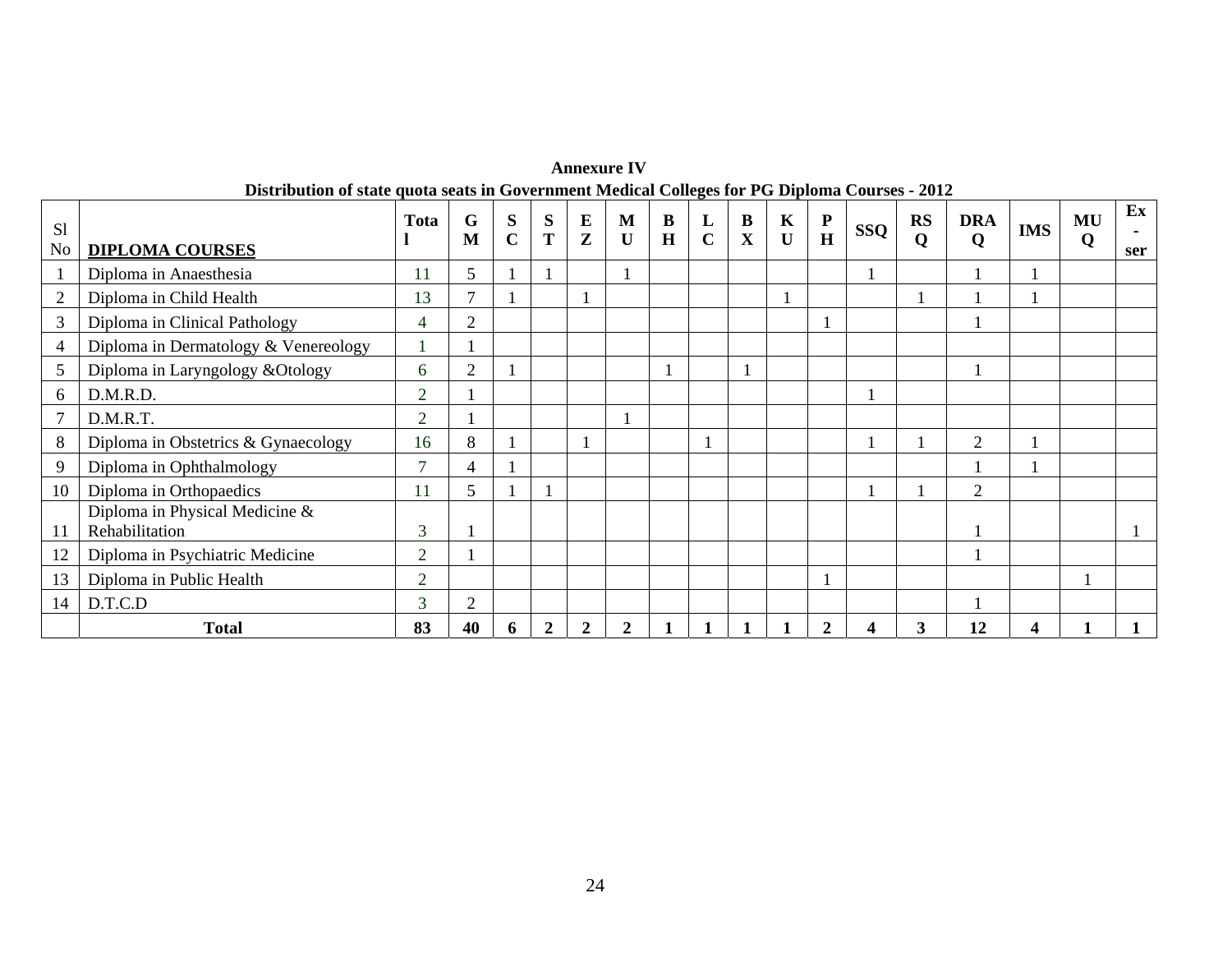|                |                                                  |                |                |                  |                |                          |                  |                         |                  | Distribution of state quota seats in Government Medical Colleges for PG Diploma Courses - 2012 |                             |                |     |                |                           |            |         |                                |
|----------------|--------------------------------------------------|----------------|----------------|------------------|----------------|--------------------------|------------------|-------------------------|------------------|------------------------------------------------------------------------------------------------|-----------------------------|----------------|-----|----------------|---------------------------|------------|---------|--------------------------------|
| S1<br>No       | <b>DIPLOMA COURSES</b>                           | Tota           | G<br>M         | S<br>$\mathbf C$ | S<br>T         | $\bf{E}$<br>$\mathbf{z}$ | M<br>$\mathbf U$ | $\bf{B}$<br>$\mathbf H$ | L<br>$\mathbf C$ | $\bf{B}$<br>$\mathbf X$                                                                        | $\mathbf K$<br>$\mathbf{U}$ | ${\bf P}$<br>H | SSQ | <b>RS</b><br>Q | <b>DRA</b><br>$\mathbf 0$ | <b>IMS</b> | MU<br>Q | $\mathbf{E} \mathbf{x}$<br>ser |
|                | Diploma in Anaesthesia                           | 11             | 5.             |                  |                |                          |                  |                         |                  |                                                                                                |                             |                |     |                |                           |            |         |                                |
| $\overline{2}$ | Diploma in Child Health                          | 13             | $\mathcal{I}$  |                  |                |                          |                  |                         |                  |                                                                                                |                             |                |     |                |                           |            |         |                                |
| 3              | Diploma in Clinical Pathology                    | 4              | 2              |                  |                |                          |                  |                         |                  |                                                                                                |                             |                |     |                |                           |            |         |                                |
| $\overline{4}$ | Diploma in Dermatology & Venereology             |                |                |                  |                |                          |                  |                         |                  |                                                                                                |                             |                |     |                |                           |            |         |                                |
| 5              | Diploma in Laryngology & Otology                 | 6              | $\overline{2}$ |                  |                |                          |                  |                         |                  |                                                                                                |                             |                |     |                |                           |            |         |                                |
| 6              | D.M.R.D.                                         | $\overline{2}$ |                |                  |                |                          |                  |                         |                  |                                                                                                |                             |                |     |                |                           |            |         |                                |
| $\tau$         | D.M.R.T.                                         | 2              |                |                  |                |                          |                  |                         |                  |                                                                                                |                             |                |     |                |                           |            |         |                                |
| 8              | Diploma in Obstetrics & Gynaecology              | 16             | 8              |                  |                |                          |                  |                         |                  |                                                                                                |                             |                |     |                | 2                         |            |         |                                |
| 9              | Diploma in Ophthalmology                         | $\overline{ }$ | 4              |                  |                |                          |                  |                         |                  |                                                                                                |                             |                |     |                |                           |            |         |                                |
| 10             | Diploma in Orthopaedics                          | 11             | 5              |                  |                |                          |                  |                         |                  |                                                                                                |                             |                |     |                | 2                         |            |         |                                |
| 11             | Diploma in Physical Medicine &<br>Rehabilitation | 3              |                |                  |                |                          |                  |                         |                  |                                                                                                |                             |                |     |                |                           |            |         |                                |
| 12             | Diploma in Psychiatric Medicine                  | $\overline{2}$ |                |                  |                |                          |                  |                         |                  |                                                                                                |                             |                |     |                |                           |            |         |                                |
| 13             | Diploma in Public Health                         | $\overline{2}$ |                |                  |                |                          |                  |                         |                  |                                                                                                |                             |                |     |                |                           |            |         |                                |
| 14             | D.T.C.D                                          | 3              | $\overline{2}$ |                  |                |                          |                  |                         |                  |                                                                                                |                             |                |     |                |                           |            |         |                                |
|                | <b>Total</b>                                     | 83             | 40             | 6                | $\overline{2}$ | $\overline{2}$           | 2                |                         |                  |                                                                                                |                             | 2              |     | 3              | 12                        |            |         |                                |

**Annexure IV Distribution of state quota seats in Government Medical Colleges for PG Diploma Courses - 2012**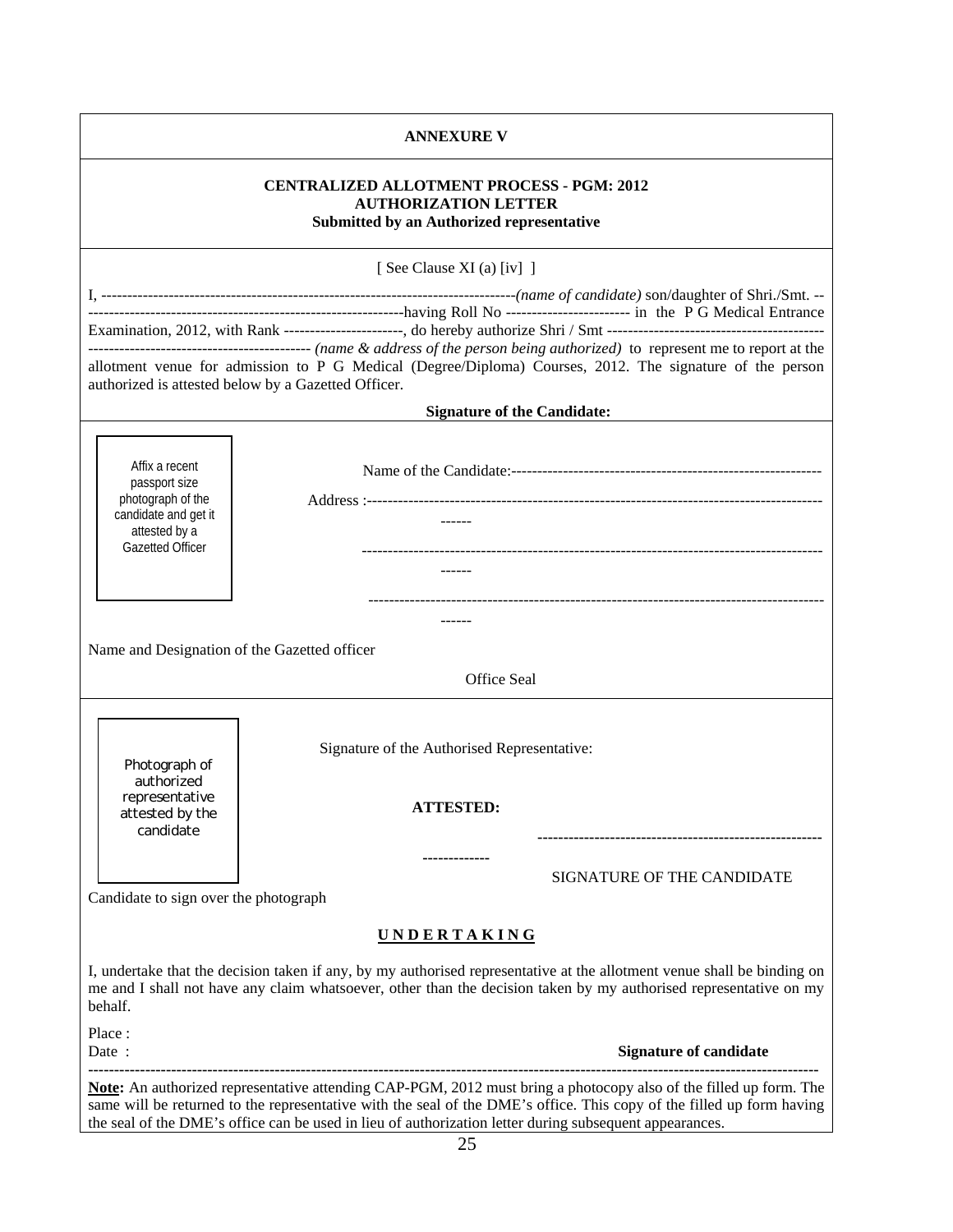|                                              | <b>ANNEXURE V</b>                                                                                                                                                                                                                                                                                                                                     |
|----------------------------------------------|-------------------------------------------------------------------------------------------------------------------------------------------------------------------------------------------------------------------------------------------------------------------------------------------------------------------------------------------------------|
|                                              | <b>CENTRALIZED ALLOTMENT PROCESS - PGM: 2012</b><br><b>AUTHORIZATION LETTER</b><br>Submitted by an Authorized representative                                                                                                                                                                                                                          |
|                                              | [ See Clause XI (a) $(iv]$ ]                                                                                                                                                                                                                                                                                                                          |
|                                              |                                                                                                                                                                                                                                                                                                                                                       |
|                                              |                                                                                                                                                                                                                                                                                                                                                       |
|                                              | allotment venue for admission to P G Medical (Degree/Diploma) Courses, 2012. The signature of the person<br>authorized is attested below by a Gazetted Officer.                                                                                                                                                                                       |
|                                              | <b>Signature of the Candidate:</b>                                                                                                                                                                                                                                                                                                                    |
|                                              |                                                                                                                                                                                                                                                                                                                                                       |
| Affix a recent                               |                                                                                                                                                                                                                                                                                                                                                       |
| passport size<br>photograph of the           |                                                                                                                                                                                                                                                                                                                                                       |
| candidate and get it<br>attested by a        | $- - - - - -$                                                                                                                                                                                                                                                                                                                                         |
| <b>Gazetted Officer</b>                      |                                                                                                                                                                                                                                                                                                                                                       |
|                                              | ------                                                                                                                                                                                                                                                                                                                                                |
|                                              |                                                                                                                                                                                                                                                                                                                                                       |
| Name and Designation of the Gazetted officer |                                                                                                                                                                                                                                                                                                                                                       |
|                                              | Office Seal                                                                                                                                                                                                                                                                                                                                           |
|                                              |                                                                                                                                                                                                                                                                                                                                                       |
|                                              | Signature of the Authorised Representative:                                                                                                                                                                                                                                                                                                           |
| Photograph of<br>authorized                  |                                                                                                                                                                                                                                                                                                                                                       |
| representative<br>attested by the            | <b>ATTESTED:</b>                                                                                                                                                                                                                                                                                                                                      |
| candidate                                    |                                                                                                                                                                                                                                                                                                                                                       |
|                                              |                                                                                                                                                                                                                                                                                                                                                       |
| Candidate to sign over the photograph        | SIGNATURE OF THE CANDIDATE                                                                                                                                                                                                                                                                                                                            |
|                                              | <u>UNDERTAKING</u>                                                                                                                                                                                                                                                                                                                                    |
| behalf.                                      | I, undertake that the decision taken if any, by my authorised representative at the allotment venue shall be binding on<br>me and I shall not have any claim whatsoever, other than the decision taken by my authorised representative on my                                                                                                          |
| Place:<br>Date:                              | <b>Signature of candidate</b>                                                                                                                                                                                                                                                                                                                         |
|                                              | Note: An authorized representative attending CAP-PGM, 2012 must bring a photocopy also of the filled up form. The<br>same will be returned to the representative with the seal of the DME's office. This copy of the filled up form having<br>the seal of the DME's office can be used in lieu of authorization letter during subsequent appearances. |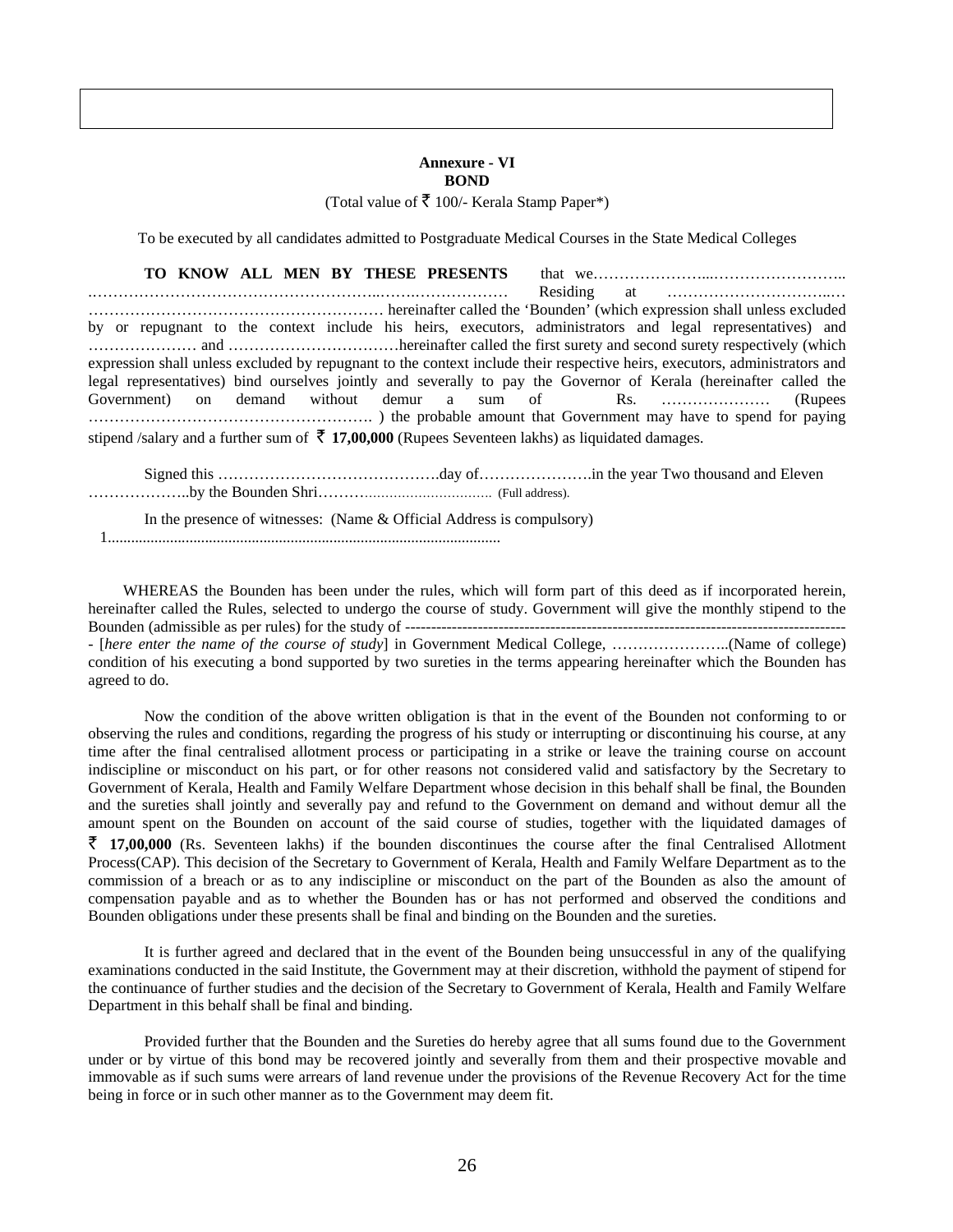#### **Annexure - VI BOND**

(Total value of  $\bar{\mathbf{\xi}}$  100/- Kerala Stamp Paper\*)

To be executed by all candidates admitted to Postgraduate Medical Courses in the State Medical Colleges

|                                                                                                             |  | TO KNOW ALL MEN BY THESE PRESENTS |  |  |  |                                                                                                                            |  |
|-------------------------------------------------------------------------------------------------------------|--|-----------------------------------|--|--|--|----------------------------------------------------------------------------------------------------------------------------|--|
|                                                                                                             |  |                                   |  |  |  |                                                                                                                            |  |
|                                                                                                             |  |                                   |  |  |  |                                                                                                                            |  |
|                                                                                                             |  |                                   |  |  |  | by or repugnant to the context include his heirs, executors, administrators and legal representatives) and                 |  |
|                                                                                                             |  |                                   |  |  |  |                                                                                                                            |  |
|                                                                                                             |  |                                   |  |  |  | expression shall unless excluded by repugnant to the context include their respective heirs, executors, administrators and |  |
|                                                                                                             |  |                                   |  |  |  | legal representatives) bind ourselves jointly and severally to pay the Governor of Kerala (hereinafter called the          |  |
|                                                                                                             |  |                                   |  |  |  |                                                                                                                            |  |
|                                                                                                             |  |                                   |  |  |  |                                                                                                                            |  |
| stipend /salary and a further sum of $\bar{\tau}$ 17,00,000 (Rupees Seventeen lakhs) as liquidated damages. |  |                                   |  |  |  |                                                                                                                            |  |

Signed this …………………………………….day of………………….in the year Two thousand and Eleven ………………..by the Bounden Shri…………………………………. (Full address).

 In the presence of witnesses: (Name & Official Address is compulsory) 1.....................................................................................................

 WHEREAS the Bounden has been under the rules, which will form part of this deed as if incorporated herein, hereinafter called the Rules, selected to undergo the course of study. Government will give the monthly stipend to the Bounden (admissible as per rules) for the study of ------------------------------------------------------------------------------------- - [*here enter the name of the course of study*] in Government Medical College, …………………..(Name of college) condition of his executing a bond supported by two sureties in the terms appearing hereinafter which the Bounden has agreed to do.

 Now the condition of the above written obligation is that in the event of the Bounden not conforming to or observing the rules and conditions, regarding the progress of his study or interrupting or discontinuing his course, at any time after the final centralised allotment process or participating in a strike or leave the training course on account indiscipline or misconduct on his part, or for other reasons not considered valid and satisfactory by the Secretary to Government of Kerala, Health and Family Welfare Department whose decision in this behalf shall be final, the Bounden and the sureties shall jointly and severally pay and refund to the Government on demand and without demur all the amount spent on the Bounden on account of the said course of studies, together with the liquidated damages of  $\bar{\zeta}$  17,00,000 (Rs. Seventeen lakhs) if the bounden discontinues the course after the final Centralised Allotment Process(CAP). This decision of the Secretary to Government of Kerala, Health and Family Welfare Department as to the commission of a breach or as to any indiscipline or misconduct on the part of the Bounden as also the amount of compensation payable and as to whether the Bounden has or has not performed and observed the conditions and Bounden obligations under these presents shall be final and binding on the Bounden and the sureties.

It is further agreed and declared that in the event of the Bounden being unsuccessful in any of the qualifying examinations conducted in the said Institute, the Government may at their discretion, withhold the payment of stipend for the continuance of further studies and the decision of the Secretary to Government of Kerala, Health and Family Welfare Department in this behalf shall be final and binding.

 Provided further that the Bounden and the Sureties do hereby agree that all sums found due to the Government under or by virtue of this bond may be recovered jointly and severally from them and their prospective movable and immovable as if such sums were arrears of land revenue under the provisions of the Revenue Recovery Act for the time being in force or in such other manner as to the Government may deem fit.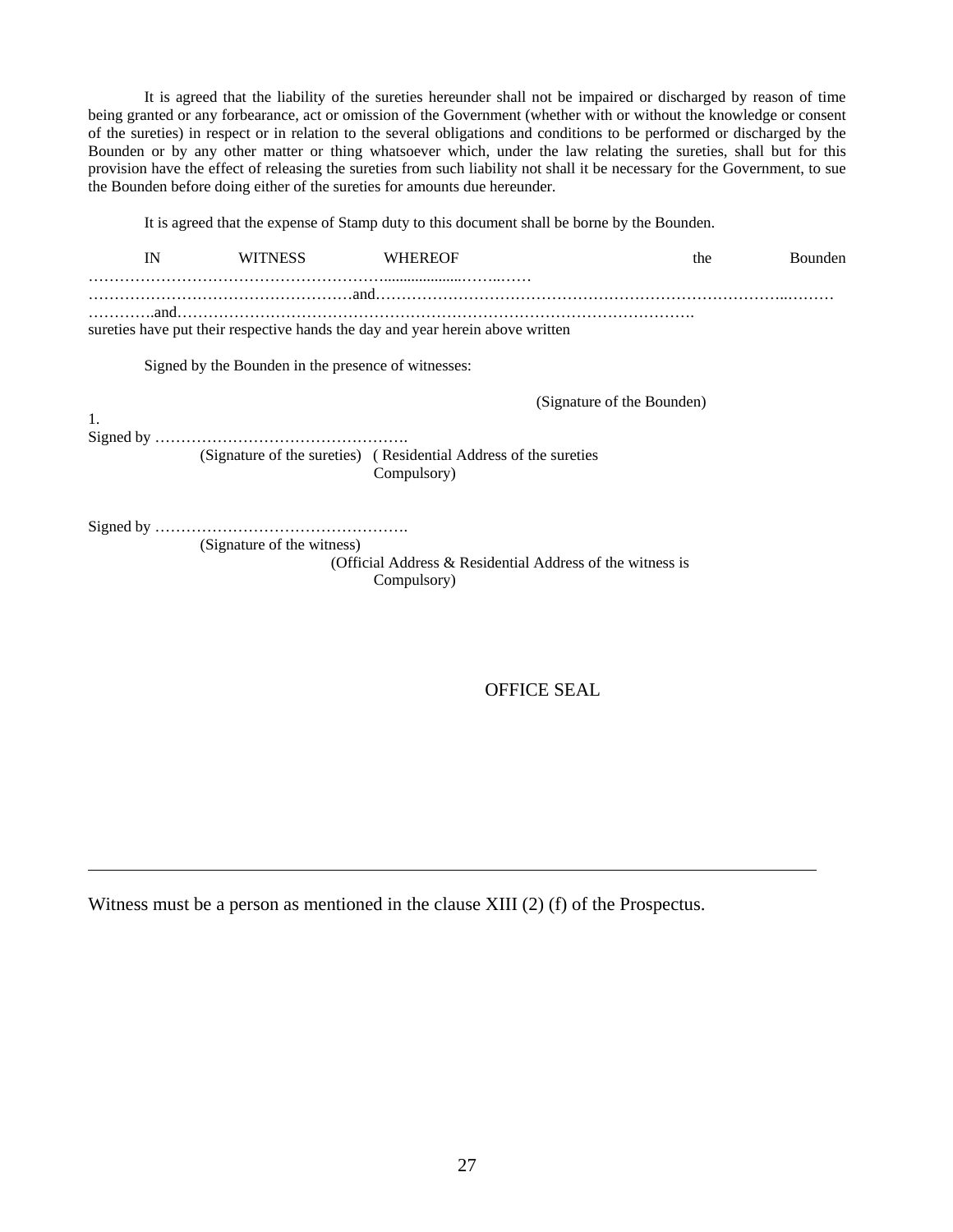It is agreed that the liability of the sureties hereunder shall not be impaired or discharged by reason of time being granted or any forbearance, act or omission of the Government (whether with or without the knowledge or consent of the sureties) in respect or in relation to the several obligations and conditions to be performed or discharged by the Bounden or by any other matter or thing whatsoever which, under the law relating the sureties, shall but for this provision have the effect of releasing the sureties from such liability not shall it be necessary for the Government, to sue the Bounden before doing either of the sureties for amounts due hereunder.

It is agreed that the expense of Stamp duty to this document shall be borne by the Bounden.

| IN | <b>WITNESS</b>                                      | <b>WHEREOF</b>                                                                  | the                        | Bounden |
|----|-----------------------------------------------------|---------------------------------------------------------------------------------|----------------------------|---------|
|    |                                                     |                                                                                 |                            |         |
|    |                                                     | sureties have put their respective hands the day and year herein above written  |                            |         |
|    | Signed by the Bounden in the presence of witnesses: |                                                                                 |                            |         |
|    |                                                     |                                                                                 | (Signature of the Bounden) |         |
| 1. |                                                     | (Signature of the sureties) (Residential Address of the sureties<br>Compulsory) |                            |         |
|    | (Signature of the witness)                          |                                                                                 |                            |         |
|    |                                                     | (Official Address & Residential Address of the witness is<br>Compulsory)        |                            |         |
|    |                                                     |                                                                                 |                            |         |

OFFICE SEAL

Witness must be a person as mentioned in the clause XIII (2) (f) of the Prospectus.

 $\overline{a}$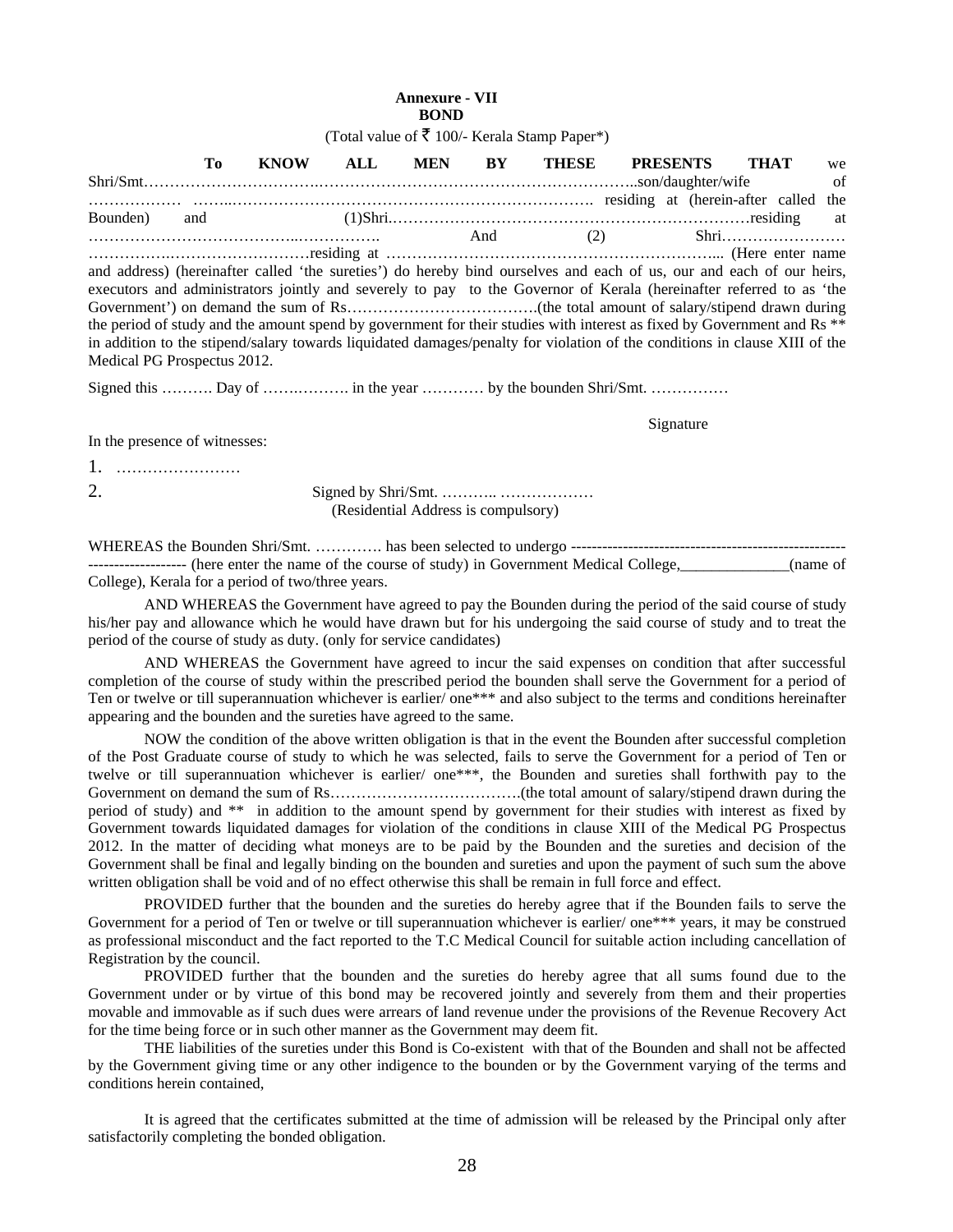#### **Annexure - VII BOND**

(Total value of  $\bar{\mathbf{\xi}}$  100/- Kerala Stamp Paper\*)

|                             | Tо  | <b>KNOW</b> | ALL | <b>MEN</b> | BY  | THESE                                                                                                                              | <b>PRESENTS</b> | <b>THAT</b> | we  |  |  |
|-----------------------------|-----|-------------|-----|------------|-----|------------------------------------------------------------------------------------------------------------------------------------|-----------------|-------------|-----|--|--|
|                             |     |             |     |            |     |                                                                                                                                    |                 |             | of  |  |  |
|                             |     |             |     |            |     | residing at (herein-after called                                                                                                   |                 |             | the |  |  |
| Bounden)                    | and |             |     |            |     |                                                                                                                                    |                 |             | at  |  |  |
|                             |     |             |     |            | And |                                                                                                                                    | (2)             | $Shri$      |     |  |  |
|                             |     |             |     |            |     |                                                                                                                                    |                 |             |     |  |  |
|                             |     |             |     |            |     | and address) (hereinafter called 'the sureties') do hereby bind ourselves and each of us, our and each of our heirs,               |                 |             |     |  |  |
|                             |     |             |     |            |     | executors and administrators jointly and severely to pay to the Governor of Kerala (hereinafter referred to as 'the                |                 |             |     |  |  |
|                             |     |             |     |            |     |                                                                                                                                    |                 |             |     |  |  |
|                             |     |             |     |            |     | the period of study and the amount spend by government for their studies with interest as fixed by Government and Rs <sup>**</sup> |                 |             |     |  |  |
|                             |     |             |     |            |     | in addition to the stipend/salary towards liquidated damages/penalty for violation of the conditions in clause XIII of the         |                 |             |     |  |  |
| Medical PG Prospectus 2012. |     |             |     |            |     |                                                                                                                                    |                 |             |     |  |  |

Signed this ……….. Day of ……………….. in the year …………. by the bounden Shri/Smt. ……………

Signature Signature Signature Signature Signature Signature Signature Signature Signature Signature Signature Signature Signature Signature Signature Signature Signature Signature Signature Signature Signature Signature Si

In the presence of witnesses:

1. ……………………

2. Signed by Shri/Smt. ……….. ……………… (Residential Address is compulsory)

WHEREAS the Bounden Shri/Smt. …………. has been selected to undergo ----------------------------------------------------- -------------------- (here enter the name of the course of study) in Government Medical College, \_\_\_\_\_\_\_\_\_\_(name of College), Kerala for a period of two/three years.

 AND WHEREAS the Government have agreed to pay the Bounden during the period of the said course of study his/her pay and allowance which he would have drawn but for his undergoing the said course of study and to treat the period of the course of study as duty. (only for service candidates)

 AND WHEREAS the Government have agreed to incur the said expenses on condition that after successful completion of the course of study within the prescribed period the bounden shall serve the Government for a period of Ten or twelve or till superannuation whichever is earlier/ one\*\*\* and also subject to the terms and conditions hereinafter appearing and the bounden and the sureties have agreed to the same.

 NOW the condition of the above written obligation is that in the event the Bounden after successful completion of the Post Graduate course of study to which he was selected, fails to serve the Government for a period of Ten or twelve or till superannuation whichever is earlier/ one\*\*\*, the Bounden and sureties shall forthwith pay to the Government on demand the sum of Rs……………………………….(the total amount of salary/stipend drawn during the period of study) and \*\* in addition to the amount spend by government for their studies with interest as fixed by Government towards liquidated damages for violation of the conditions in clause XIII of the Medical PG Prospectus 2012. In the matter of deciding what moneys are to be paid by the Bounden and the sureties and decision of the Government shall be final and legally binding on the bounden and sureties and upon the payment of such sum the above written obligation shall be void and of no effect otherwise this shall be remain in full force and effect.

 PROVIDED further that the bounden and the sureties do hereby agree that if the Bounden fails to serve the Government for a period of Ten or twelve or till superannuation whichever is earlier/ one\*\*\* years, it may be construed as professional misconduct and the fact reported to the T.C Medical Council for suitable action including cancellation of Registration by the council.

 PROVIDED further that the bounden and the sureties do hereby agree that all sums found due to the Government under or by virtue of this bond may be recovered jointly and severely from them and their properties movable and immovable as if such dues were arrears of land revenue under the provisions of the Revenue Recovery Act for the time being force or in such other manner as the Government may deem fit.

 THE liabilities of the sureties under this Bond is Co-existent with that of the Bounden and shall not be affected by the Government giving time or any other indigence to the bounden or by the Government varying of the terms and conditions herein contained,

 It is agreed that the certificates submitted at the time of admission will be released by the Principal only after satisfactorily completing the bonded obligation.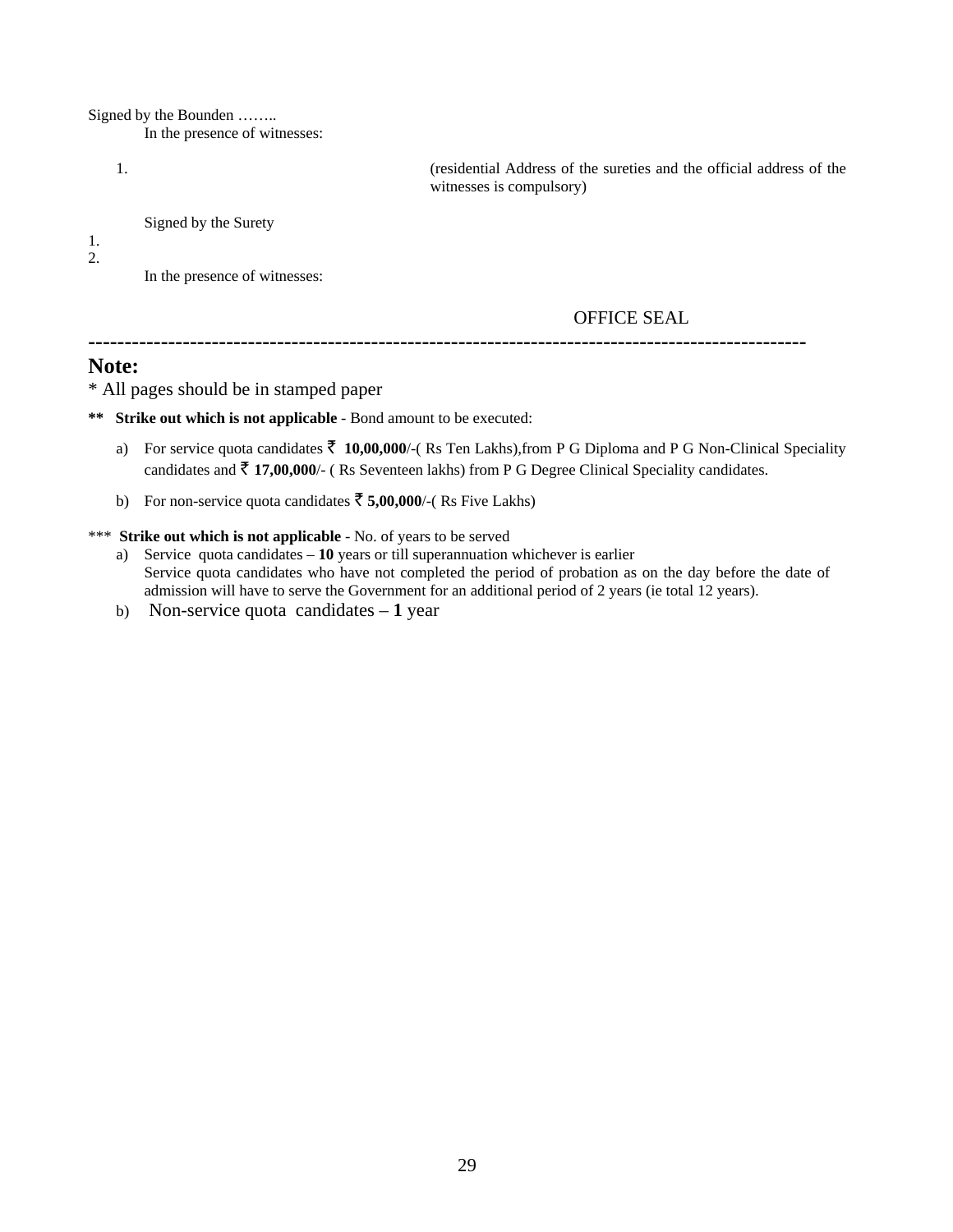Signed by the Bounden ……..

In the presence of witnesses:

1. (residential Address of the sureties and the official address of the witnesses is compulsory)

Signed by the Surety

1.

2.

In the presence of witnesses:

#### OFFICE SEAL

**---------------------------------------------------------------------------------------------------** 

### **Note:**

\* All pages should be in stamped paper

**\*\* Strike out which is not applicable** - Bond amount to be executed:

- a) For service quota candidates  $\bar{z}$  10,00,000/-(Rs Ten Lakhs), from P G Diploma and P G Non-Clinical Speciality candidates and  $\bar{\tau}$  17,00,000/- (Rs Seventeen lakhs) from P G Degree Clinical Speciality candidates.
- b) For non-service quota candidates  $\bar{5}$ ,00,000/-(Rs Five Lakhs)

#### \*\*\* **Strike out which is not applicable** - No. of years to be served

- a) Service quota candidates **10** years or till superannuation whichever is earlier Service quota candidates who have not completed the period of probation as on the day before the date of admission will have to serve the Government for an additional period of 2 years (ie total 12 years).
- b) Non-service quota candidates **1** year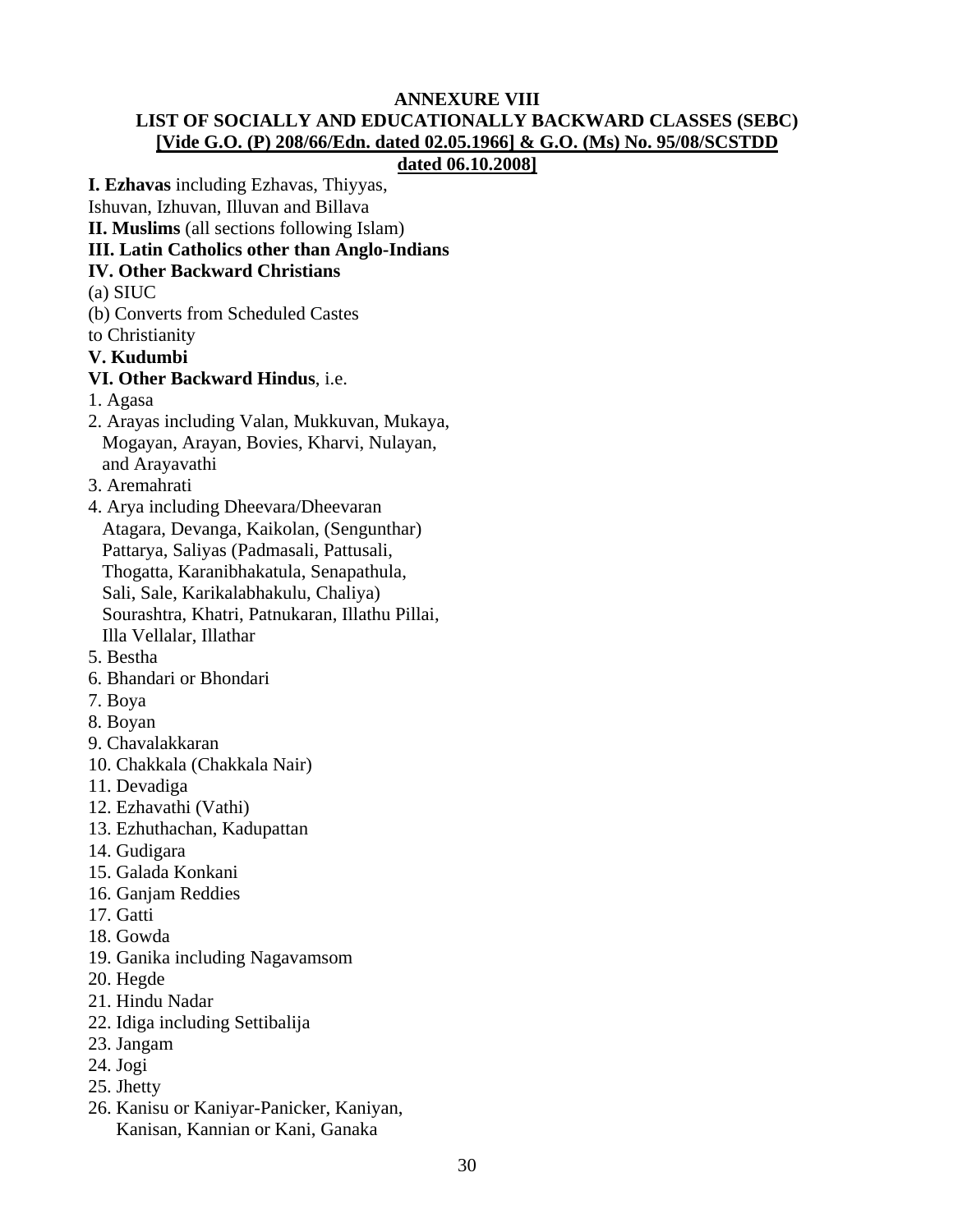# **ANNEXURE VIII LIST OF SOCIALLY AND EDUCATIONALLY BACKWARD CLASSES (SEBC) [Vide G.O. (P) 208/66/Edn. dated 02.05.1966] & G.O. (Ms) No. 95/08/SCSTDD**

### **dated 06.10.2008]**

**I. Ezhavas** including Ezhavas, Thiyyas,

Ishuvan, Izhuvan, Illuvan and Billava

**II. Muslims** (all sections following Islam)

### **III. Latin Catholics other than Anglo-Indians**

### **IV. Other Backward Christians**

(a) SIUC

(b) Converts from Scheduled Castes

to Christianity

**V. Kudumbi** 

# **VI. Other Backward Hindus**, i.e.

1. Agasa

- 2. Arayas including Valan, Mukkuvan, Mukaya, Mogayan, Arayan, Bovies, Kharvi, Nulayan, and Arayavathi
- 3. Aremahrati
- 4. Arya including Dheevara/Dheevaran Atagara, Devanga, Kaikolan, (Sengunthar) Pattarya, Saliyas (Padmasali, Pattusali, Thogatta, Karanibhakatula, Senapathula, Sali, Sale, Karikalabhakulu, Chaliya) Sourashtra, Khatri, Patnukaran, Illathu Pillai, Illa Vellalar, Illathar
- 5. Bestha
- 6. Bhandari or Bhondari
- 7. Boya
- 8. Boyan
- 9. Chavalakkaran
- 10. Chakkala (Chakkala Nair)
- 11. Devadiga
- 12. Ezhavathi (Vathi)
- 13. Ezhuthachan, Kadupattan
- 14. Gudigara
- 15. Galada Konkani
- 16. Ganjam Reddies
- 17. Gatti
- 18. Gowda
- 19. Ganika including Nagavamsom
- 20. Hegde
- 21. Hindu Nadar
- 22. Idiga including Settibalija
- 23. Jangam
- 24. Jogi
- 25. Jhetty
- 26. Kanisu or Kaniyar-Panicker, Kaniyan, Kanisan, Kannian or Kani, Ganaka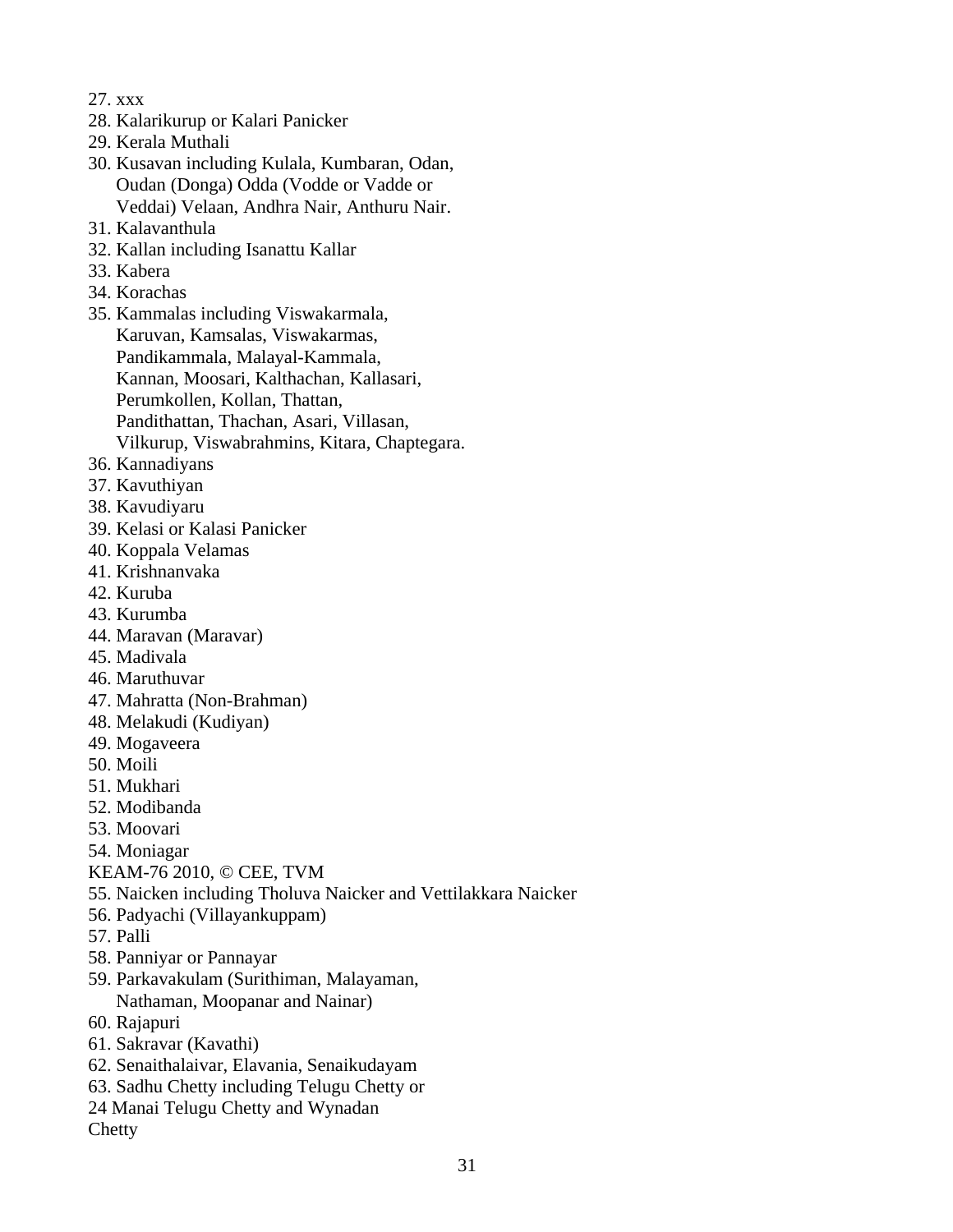- 27. xxx
- 28. Kalarikurup or Kalari Panicker
- 29. Kerala Muthali
- 30. Kusavan including Kulala, Kumbaran, Odan, Oudan (Donga) Odda (Vodde or Vadde or Veddai) Velaan, Andhra Nair, Anthuru Nair.
- 31. Kalavanthula
- 32. Kallan including Isanattu Kallar
- 33. Kabera
- 34. Korachas
- 35. Kammalas including Viswakarmala, Karuvan, Kamsalas, Viswakarmas, Pandikammala, Malayal-Kammala, Kannan, Moosari, Kalthachan, Kallasari, Perumkollen, Kollan, Thattan, Pandithattan, Thachan, Asari, Villasan, Vilkurup, Viswabrahmins, Kitara, Chaptegara.
- 36. Kannadiyans
- 37. Kavuthiyan
- 38. Kavudiyaru
- 39. Kelasi or Kalasi Panicker
- 40. Koppala Velamas
- 41. Krishnanvaka
- 42. Kuruba
- 43. Kurumba
- 44. Maravan (Maravar)
- 45. Madivala
- 46. Maruthuvar
- 47. Mahratta (Non-Brahman)
- 48. Melakudi (Kudiyan)
- 49. Mogaveera
- 50. Moili
- 51. Mukhari
- 52. Modibanda
- 53. Moovari
- 54. Moniagar
- KEAM-76 2010, © CEE, TVM
- 55. Naicken including Tholuva Naicker and Vettilakkara Naicker
- 56. Padyachi (Villayankuppam)
- 57. Palli
- 58. Panniyar or Pannayar
- 59. Parkavakulam (Surithiman, Malayaman, Nathaman, Moopanar and Nainar)
- 60. Rajapuri
- 61. Sakravar (Kavathi)
- 62. Senaithalaivar, Elavania, Senaikudayam
- 63. Sadhu Chetty including Telugu Chetty or
- 24 Manai Telugu Chetty and Wynadan
- **Chetty**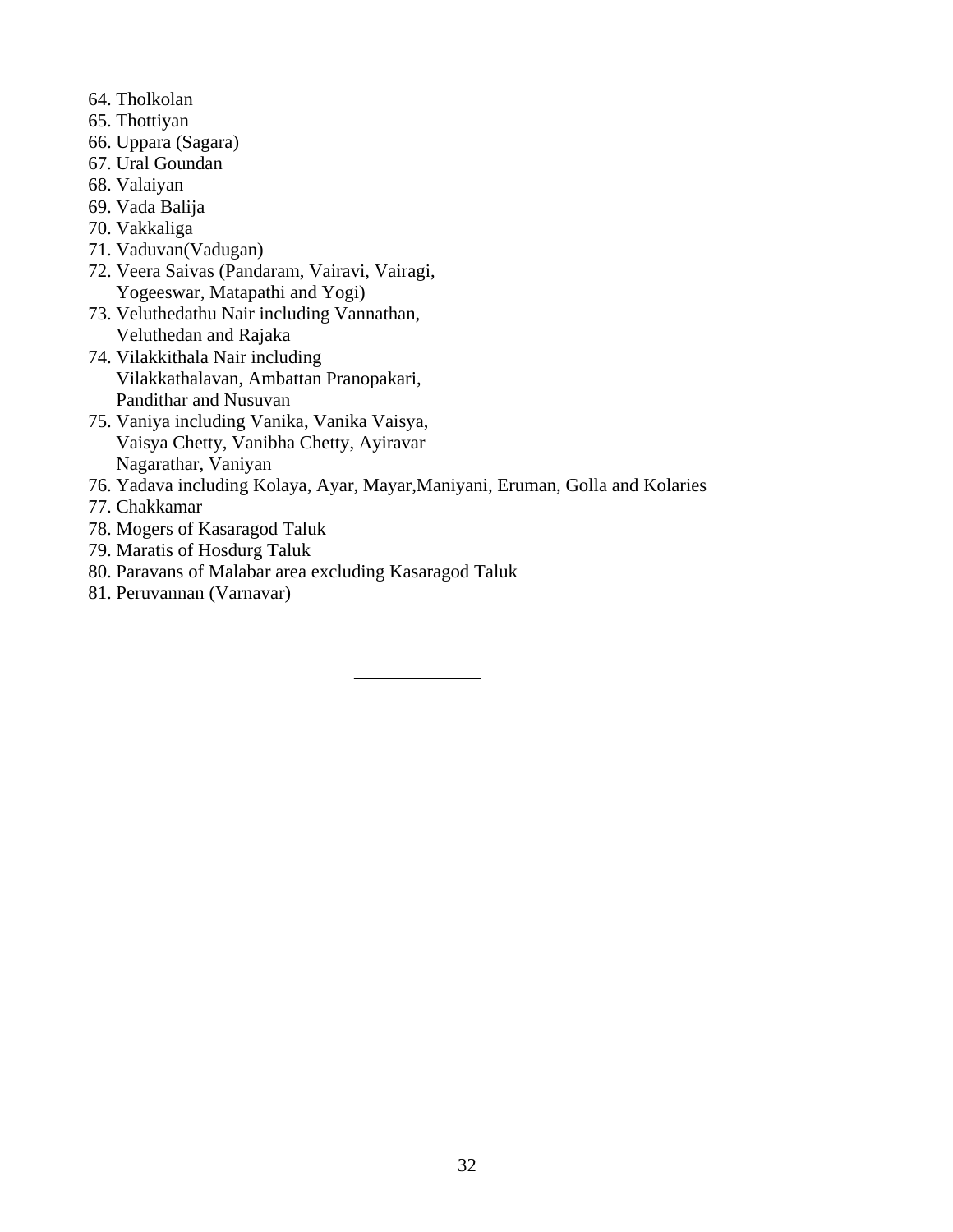- 64. Tholkolan
- 65. Thottiyan
- 66. Uppara (Sagara)
- 67. Ural Goundan
- 68. Valaiyan
- 69. Vada Balija
- 70. Vakkaliga
- 71. Vaduvan(Vadugan)
- 72. Veera Saivas (Pandaram, Vairavi, Vairagi, Yogeeswar, Matapathi and Yogi)
- 73. Veluthedathu Nair including Vannathan, Veluthedan and Rajaka
- 74. Vilakkithala Nair including Vilakkathalavan, Ambattan Pranopakari, Pandithar and Nusuvan
- 75. Vaniya including Vanika, Vanika Vaisya, Vaisya Chetty, Vanibha Chetty, Ayiravar Nagarathar, Vaniyan
- 76. Yadava including Kolaya, Ayar, Mayar,Maniyani, Eruman, Golla and Kolaries
- 77. Chakkamar
- 78. Mogers of Kasaragod Taluk
- 79. Maratis of Hosdurg Taluk
- 80. Paravans of Malabar area excluding Kasaragod Taluk
- 81. Peruvannan (Varnavar)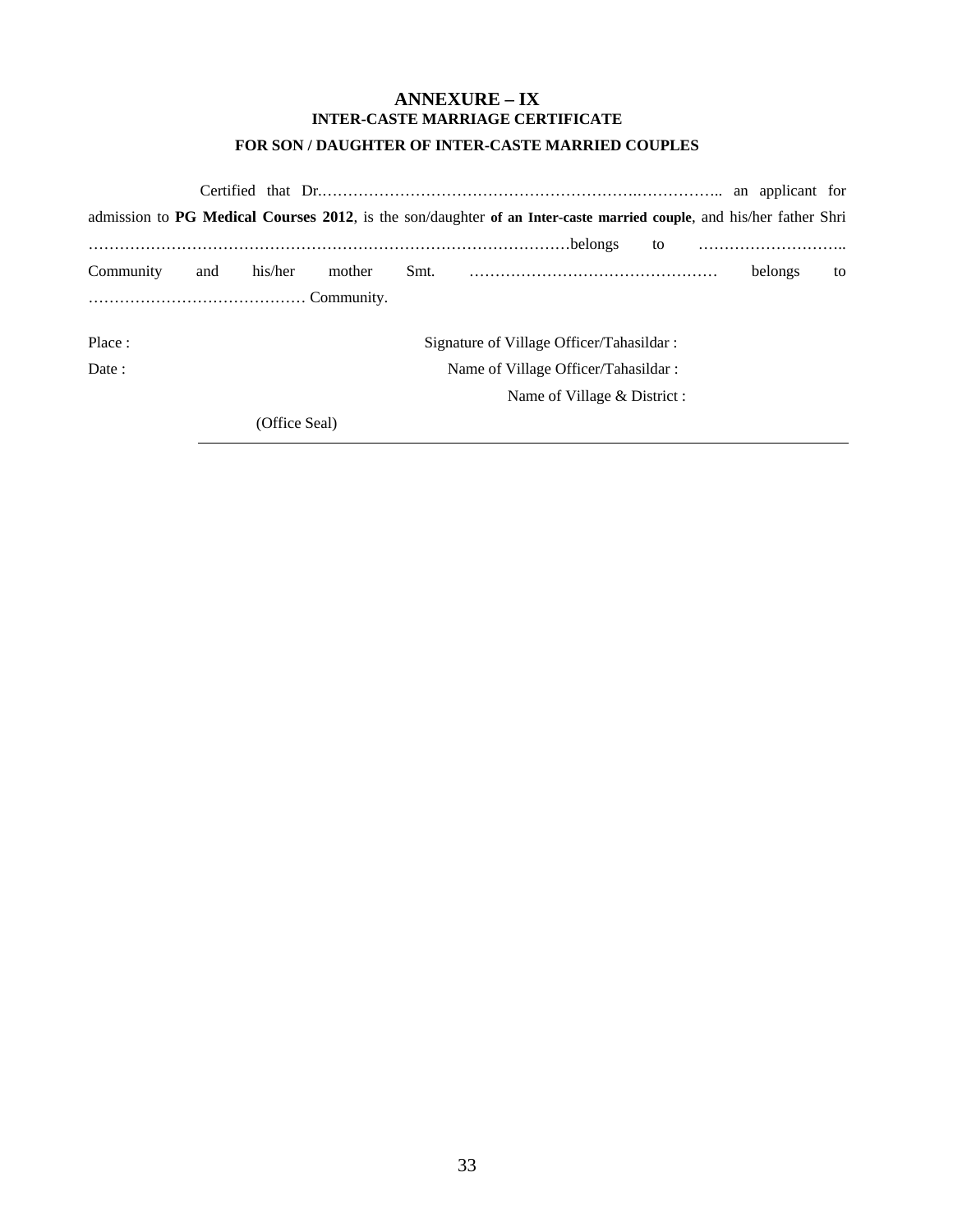### **ANNEXURE – IX INTER-CASTE MARRIAGE CERTIFICATE FOR SON / DAUGHTER OF INTER-CASTE MARRIED COUPLES**

|           |     |                                          |        |  | admission to PG Medical Courses 2012, is the son/daughter of an Inter-caste married couple, and his/her father Shri |         |    |  |  |  |  |  |
|-----------|-----|------------------------------------------|--------|--|---------------------------------------------------------------------------------------------------------------------|---------|----|--|--|--|--|--|
|           |     |                                          |        |  | to                                                                                                                  |         |    |  |  |  |  |  |
| Community | and | his/her                                  | mother |  |                                                                                                                     | belongs | to |  |  |  |  |  |
|           |     |                                          |        |  |                                                                                                                     |         |    |  |  |  |  |  |
| Place:    |     | Signature of Village Officer/Tahasildar: |        |  |                                                                                                                     |         |    |  |  |  |  |  |
| Date:     |     | Name of Village Officer/Tahasildar:      |        |  |                                                                                                                     |         |    |  |  |  |  |  |
|           |     |                                          |        |  | Name of Village & District :                                                                                        |         |    |  |  |  |  |  |
|           |     | (Office Seal)                            |        |  |                                                                                                                     |         |    |  |  |  |  |  |